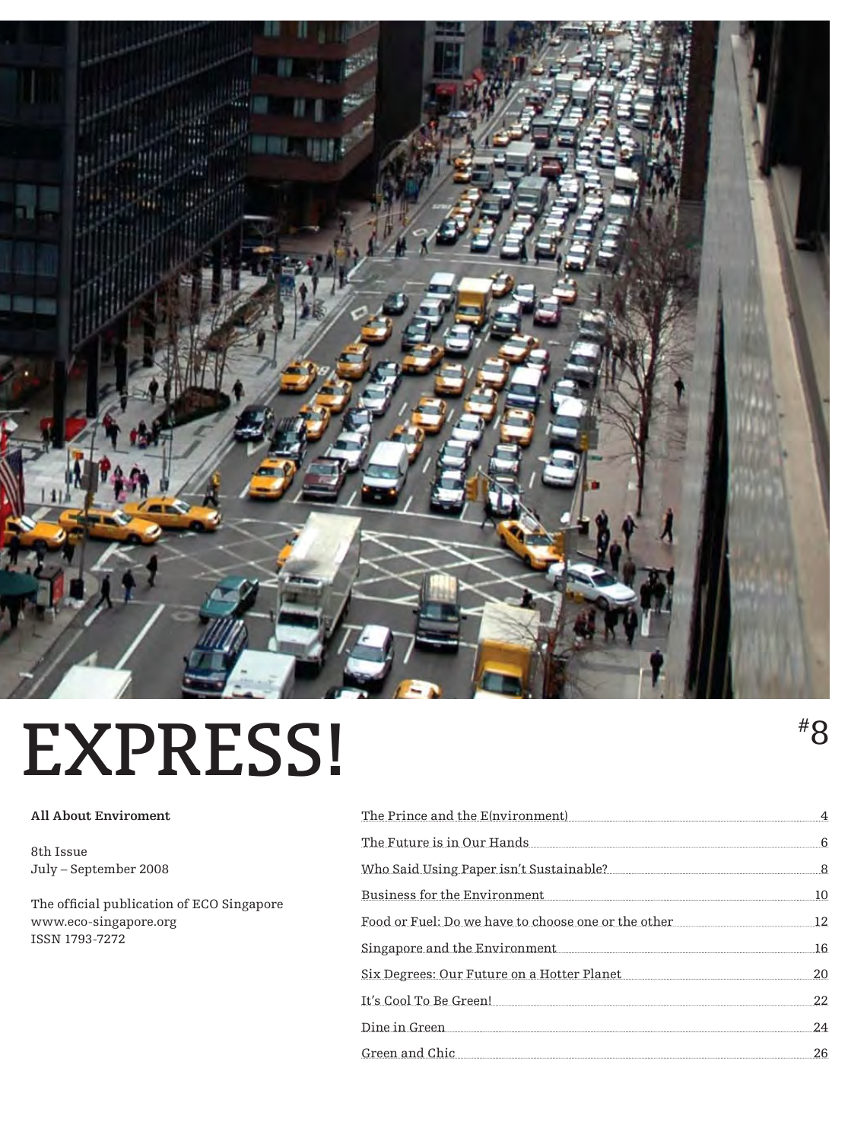

### EXPRESS!  $^{*8}$

#### **All About Enviroment**

8th Issue July – September 2008

The official publication of ECO Singapore www.eco-singapore.org ISSN 1793-7272

| The Prince and the E(nvironment)                                                                                                                                                                                                        |   |
|-----------------------------------------------------------------------------------------------------------------------------------------------------------------------------------------------------------------------------------------|---|
| The Future is in Our Hands                                                                                                                                                                                                              | 6 |
|                                                                                                                                                                                                                                         | 8 |
| Business for the Environment                                                                                                                                                                                                            |   |
| Food or Fuel: Do we have to choose one or the other                                                                                                                                                                                     |   |
| Singapore and the Environment <b>Example 2</b> in the state of the Singapore and the Environment <b>Example 2</b> is the state of the Singapore of the Singapore of the Singapore of the Singapore of the Singapore of the Singapore of | ĥ |
| Six Degrees: Our Future on a Hotter Planet                                                                                                                                                                                              |   |
| It's Cool To Be Green!                                                                                                                                                                                                                  |   |
| Dine in Green                                                                                                                                                                                                                           |   |
| Green and Chic                                                                                                                                                                                                                          |   |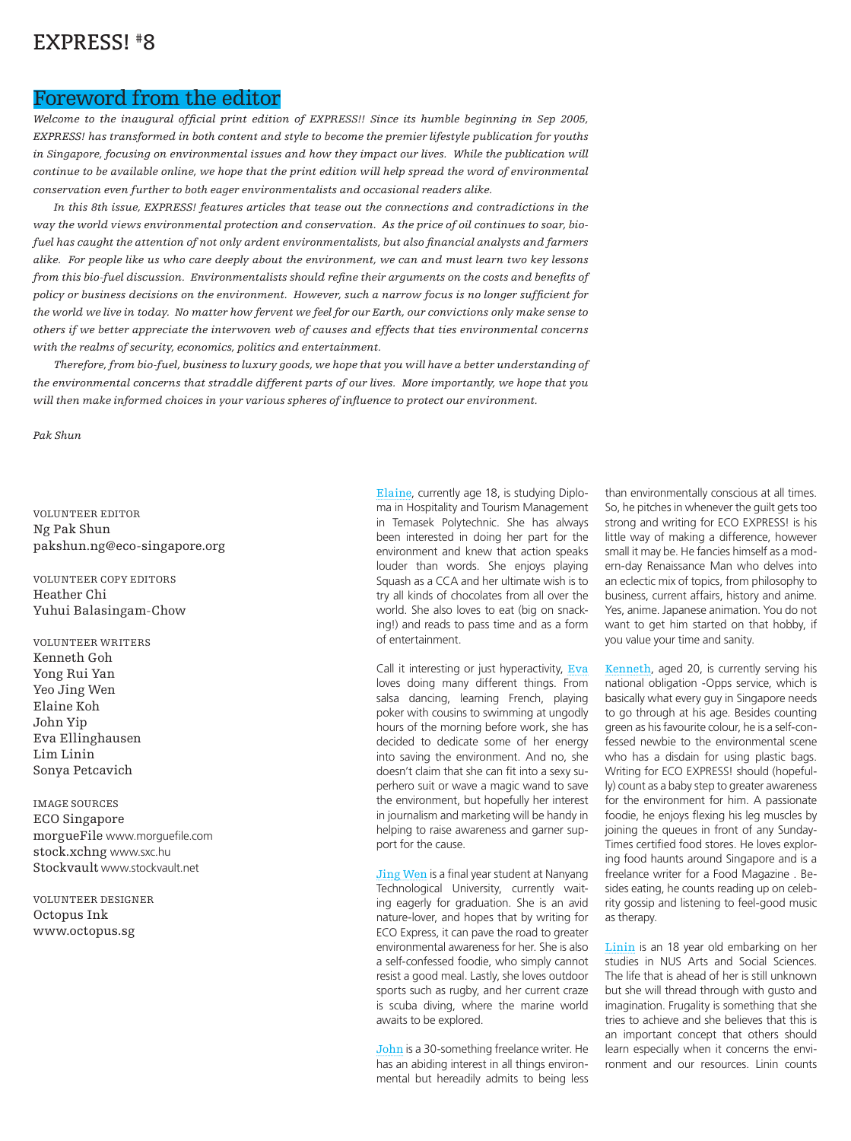#### EXPRESS! #8

#### Foreword from the editor

*Welcome to the inaugural official print edition of EXPRESS!! Since its humble beginning in Sep 2005, EXPRESS! has transformed in both content and style to become the premier lifestyle publication for youths in Singapore, focusing on environmental issues and how they impact our lives. While the publication will continue to be available online, we hope that the print edition will help spread the word of environmental conservation even further to both eager environmentalists and occasional readers alike.*

*In this 8th issue, EXPRESS! features articles that tease out the connections and contradictions in the way the world views environmental protection and conservation. As the price of oil continues to soar, biofuel has caught the attention of not only ardent environmentalists, but also financial analysts and farmers alike. For people like us who care deeply about the environment, we can and must learn two key lessons from this bio-fuel discussion. Environmentalists should refine their arguments on the costs and benefits of policy or business decisions on the environment. However, such a narrow focus is no longer sufficient for the world we live in today. No matter how fervent we feel for our Earth, our convictions only make sense to others if we better appreciate the interwoven web of causes and effects that ties environmental concerns with the realms of security, economics, politics and entertainment.*

*Therefore, from bio-fuel, business to luxury goods, we hope that you will have a better understanding of the environmental concerns that straddle different parts of our lives. More importantly, we hope that you will then make informed choices in your various spheres of influence to protect our environment.*

*Pak Shun*

VOLUNTEER EDITOR Ng Pak Shun pakshun.ng@eco-singapore.org

VOLUNTEER COPY EDITORS Heather Chi Yuhui Balasingam-Chow

VOLUNTEER WRITERS Kenneth Goh Yong Rui Yan Yeo Jing Wen Elaine Koh John Yip Eva Ellinghausen Lim Linin Sonya Petcavich

IMAGE SOURCES ECO Singapore morgueFile www.morguefile.com stock.xchng www.sxc.hu Stockvault www.stockvault.net

VOLUNTEER DESIGNER Octopus Ink www.octopus.sg

Elaine, currently age 18, is studying Diploma in Hospitality and Tourism Management in Temasek Polytechnic. She has always been interested in doing her part for the environment and knew that action speaks louder than words. She enjoys playing Squash as a CCA and her ultimate wish is to try all kinds of chocolates from all over the world. She also loves to eat (big on snacking!) and reads to pass time and as a form of entertainment.

Call it interesting or just hyperactivity, Eva loves doing many different things. From salsa dancing, learning French, playing poker with cousins to swimming at ungodly hours of the morning before work, she has decided to dedicate some of her energy into saving the environment. And no, she doesn't claim that she can fit into a sexy superhero suit or wave a magic wand to save the environment, but hopefully her interest in journalism and marketing will be handy in helping to raise awareness and garner support for the cause.

Jing Wen is a final year student at Nanyang Technological University, currently waiting eagerly for graduation. She is an avid nature-lover, and hopes that by writing for ECO Express, it can pave the road to greater environmental awareness for her. She is also a self-confessed foodie, who simply cannot resist a good meal. Lastly, she loves outdoor sports such as rugby, and her current craze is scuba diving, where the marine world awaits to be explored.

John is a 30-something freelance writer. He has an abiding interest in all things environmental but hereadily admits to being less

than environmentally conscious at all times. So, he pitches in whenever the guilt gets too strong and writing for ECO EXPRESS! is his little way of making a difference, however small it may be. He fancies himself as a modern-day Renaissance Man who delves into an eclectic mix of topics, from philosophy to business, current affairs, history and anime. Yes, anime. Japanese animation. You do not want to get him started on that hobby, if you value your time and sanity.

Kenneth, aged 20, is currently serving his national obligation -Opps service, which is basically what every guy in Singapore needs to go through at his age. Besides counting green as his favourite colour, he is a self-confessed newbie to the environmental scene who has a disdain for using plastic bags. Writing for ECO EXPRESS! should (hopefully) count as a baby step to greater awareness for the environment for him. A passionate foodie, he enjoys flexing his leg muscles by joining the queues in front of any Sunday-Times certified food stores. He loves exploring food haunts around Singapore and is a freelance writer for a Food Magazine . Besides eating, he counts reading up on celebrity gossip and listening to feel-good music as therapy.

Linin is an 18 year old embarking on her studies in NUS Arts and Social Sciences. The life that is ahead of her is still unknown but she will thread through with gusto and imagination. Frugality is something that she tries to achieve and she believes that this is an important concept that others should learn especially when it concerns the environment and our resources. Linin counts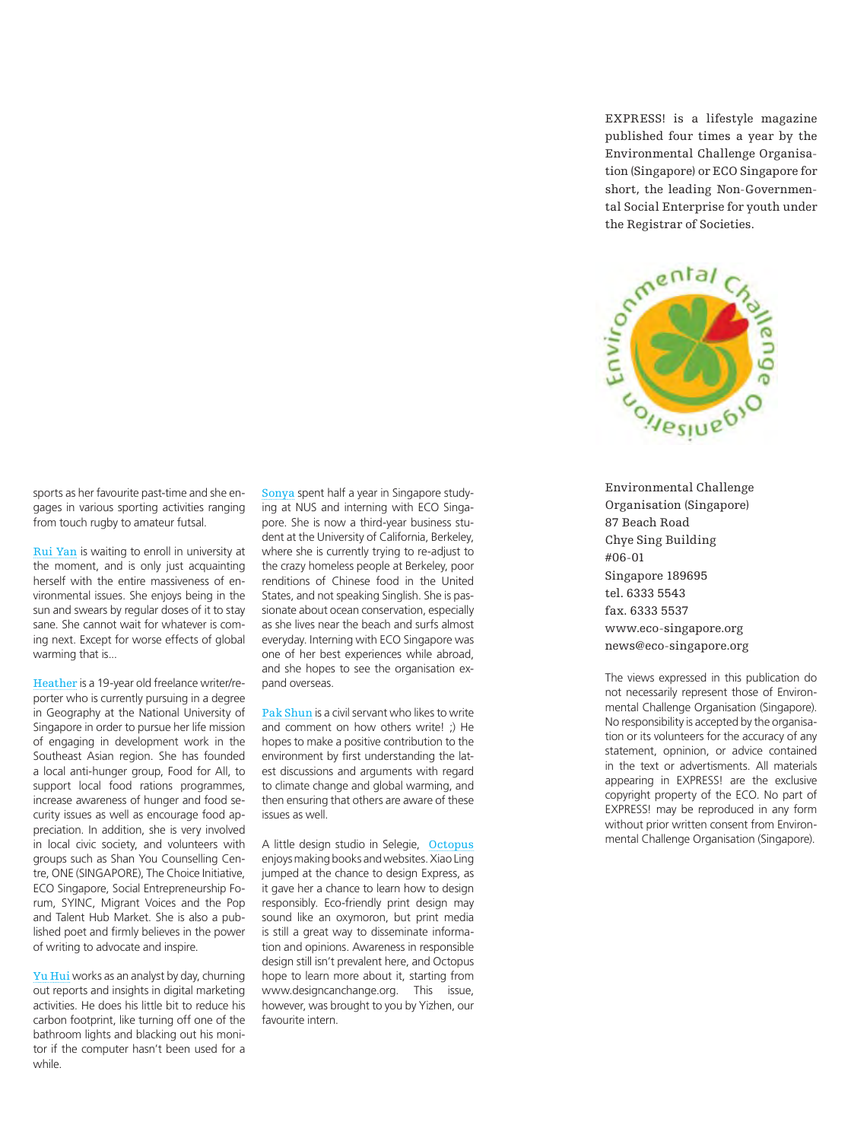sports as her favourite past-time and she engages in various sporting activities ranging from touch rugby to amateur futsal.

Rui Yan is waiting to enroll in university at the moment, and is only just acquainting herself with the entire massiveness of environmental issues. She enjoys being in the sun and swears by regular doses of it to stay sane. She cannot wait for whatever is coming next. Except for worse effects of global warming that is...

Heather is a 19-year old freelance writer/reporter who is currently pursuing in a degree in Geography at the National University of Singapore in order to pursue her life mission of engaging in development work in the Southeast Asian region. She has founded a local anti-hunger group, Food for All, to support local food rations programmes, increase awareness of hunger and food security issues as well as encourage food appreciation. In addition, she is very involved in local civic society, and volunteers with groups such as Shan You Counselling Centre, ONE (SINGAPORE), The Choice Initiative, ECO Singapore, Social Entrepreneurship Forum, SYINC, Migrant Voices and the Pop and Talent Hub Market. She is also a published poet and firmly believes in the power of writing to advocate and inspire.

Yu Hui works as an analyst by day, churning out reports and insights in digital marketing activities. He does his little bit to reduce his carbon footprint, like turning off one of the bathroom lights and blacking out his monitor if the computer hasn't been used for a while.

Sonya spent half a year in Singapore studying at NUS and interning with ECO Singapore. She is now a third-year business student at the University of California, Berkeley, where she is currently trying to re-adjust to the crazy homeless people at Berkeley, poor renditions of Chinese food in the United States, and not speaking Singlish. She is passionate about ocean conservation, especially as she lives near the beach and surfs almost everyday. Interning with ECO Singapore was one of her best experiences while abroad, and she hopes to see the organisation expand overseas.

Pak Shun is a civil servant who likes to write and comment on how others write! ;) He hopes to make a positive contribution to the environment by first understanding the latest discussions and arguments with regard to climate change and global warming, and then ensuring that others are aware of these issues as well.

A little design studio in Selegie, Octopus enjoys making books and websites. Xiao Ling jumped at the chance to design Express, as it gave her a chance to learn how to design responsibly. Eco-friendly print design may sound like an oxymoron, but print media is still a great way to disseminate information and opinions. Awareness in responsible design still isn't prevalent here, and Octopus hope to learn more about it, starting from www.designcanchange.org. This issue, however, was brought to you by Yizhen, our favourite intern.

EXPRESS! is a lifestyle magazine published four times a year by the Environmental Challenge Organisation (Singapore) or ECO Singapore for short, the leading Non-Governmental Social Enterprise for youth under the Registrar of Societies.



Environmental Challenge Organisation (Singapore) 87 Beach Road Chye Sing Building #06-01 Singapore 189695 tel. 6333 5543 fax. 6333 5537 www.eco-singapore.org news@eco-singapore.org

The views expressed in this publication do not necessarily represent those of Environmental Challenge Organisation (Singapore). No responsibility is accepted by the organisation or its volunteers for the accuracy of any statement, opninion, or advice contained in the text or advertisments. All materials appearing in EXPRESS! are the exclusive copyright property of the ECO. No part of EXPRESS! may be reproduced in any form without prior written consent from Environmental Challenge Organisation (Singapore).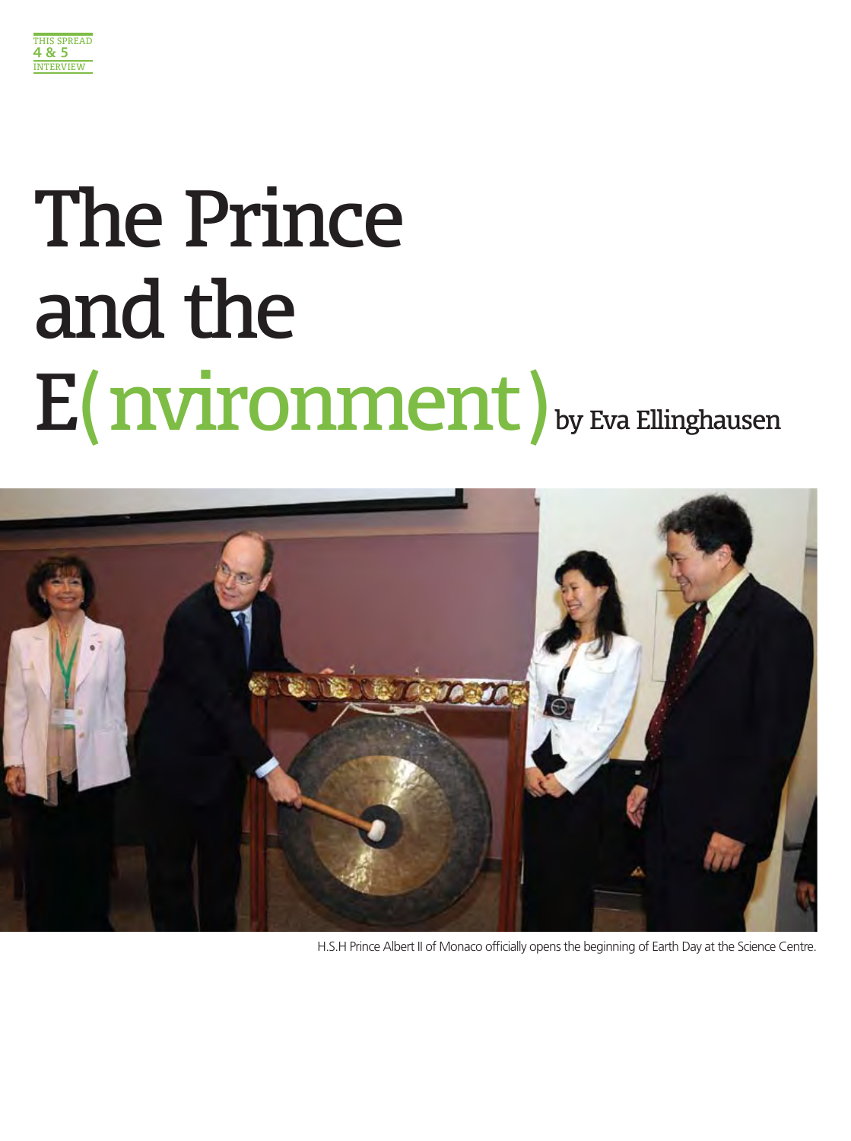

# The Prince and the E(nvironment) by Eva Ellinghausen



H.S.H Prince Albert II of Monaco officially opens the beginning of Earth Day at the Science Centre.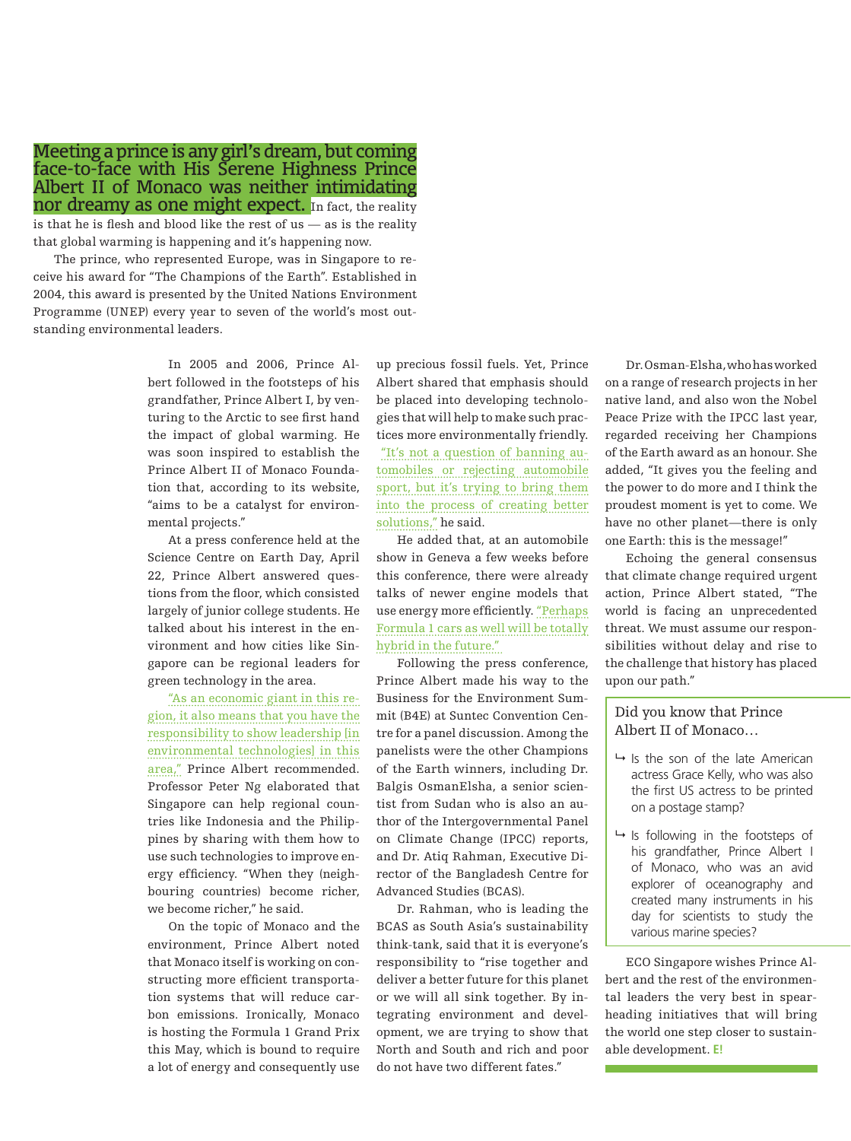Meeting a prince is any girl's dream, but coming face-to-face with His Serene Highness Prince Albert II of Monaco was neither intimidating nor dreamy as one might expect. In fact, the reality

is that he is flesh and blood like the rest of us — as is the reality that global warming is happening and it's happening now.

The prince, who represented Europe, was in Singapore to receive his award for "The Champions of the Earth". Established in 2004, this award is presented by the United Nations Environment Programme (UNEP) every year to seven of the world's most outstanding environmental leaders.

> In 2005 and 2006, Prince Albert followed in the footsteps of his grandfather, Prince Albert I, by venturing to the Arctic to see first hand the impact of global warming. He was soon inspired to establish the Prince Albert II of Monaco Foundation that, according to its website, "aims to be a catalyst for environmental projects."

> At a press conference held at the Science Centre on Earth Day, April 22, Prince Albert answered questions from the floor, which consisted largely of junior college students. He talked about his interest in the environment and how cities like Singapore can be regional leaders for green technology in the area.

> "As an economic giant in this region, it also means that you have the responsibility to show leadership [in environmental technologies] in this area," Prince Albert recommended. Professor Peter Ng elaborated that Singapore can help regional countries like Indonesia and the Philippines by sharing with them how to use such technologies to improve energy efficiency. "When they (neighbouring countries) become richer, we become richer," he said.

> On the topic of Monaco and the environment, Prince Albert noted that Monaco itself is working on constructing more efficient transportation systems that will reduce carbon emissions. Ironically, Monaco is hosting the Formula 1 Grand Prix this May, which is bound to require a lot of energy and consequently use

up precious fossil fuels. Yet, Prince Albert shared that emphasis should be placed into developing technologies that will help to make such practices more environmentally friendly. "It's not a question of banning automobiles or rejecting automobile sport, but it's trying to bring them into the process of creating better solutions," he said.

He added that, at an automobile show in Geneva a few weeks before this conference, there were already talks of newer engine models that use energy more efficiently. "Perhaps Formula 1 cars as well will be totally hybrid in the future."

Following the press conference, Prince Albert made his way to the Business for the Environment Summit (B4E) at Suntec Convention Centre for a panel discussion. Among the panelists were the other Champions of the Earth winners, including Dr. Balgis OsmanElsha, a senior scientist from Sudan who is also an author of the Intergovernmental Panel on Climate Change (IPCC) reports, and Dr. Atiq Rahman, Executive Director of the Bangladesh Centre for Advanced Studies (BCAS).

Dr. Rahman, who is leading the BCAS as South Asia's sustainability think-tank, said that it is everyone's responsibility to "rise together and deliver a better future for this planet or we will all sink together. By integrating environment and development, we are trying to show that North and South and rich and poor do not have two different fates."

Dr. Osman-Elsha, who has worked on a range of research projects in her native land, and also won the Nobel Peace Prize with the IPCC last year, regarded receiving her Champions of the Earth award as an honour. She added, "It gives you the feeling and the power to do more and I think the proudest moment is yet to come. We have no other planet—there is only one Earth: this is the message!"

Echoing the general consensus that climate change required urgent action, Prince Albert stated, "The world is facing an unprecedented threat. We must assume our responsibilities without delay and rise to the challenge that history has placed upon our path."

#### Did you know that Prince Albert II of Monaco…

- $\rightarrow$  Is the son of the late American actress Grace Kelly, who was also the first US actress to be printed on a postage stamp?
- $\rightarrow$  Is following in the footsteps of his grandfather, Prince Albert I of Monaco, who was an avid explorer of oceanography and created many instruments in his day for scientists to study the various marine species?

ECO Singapore wishes Prince Albert and the rest of the environmental leaders the very best in spearheading initiatives that will bring the world one step closer to sustainable development. **E!**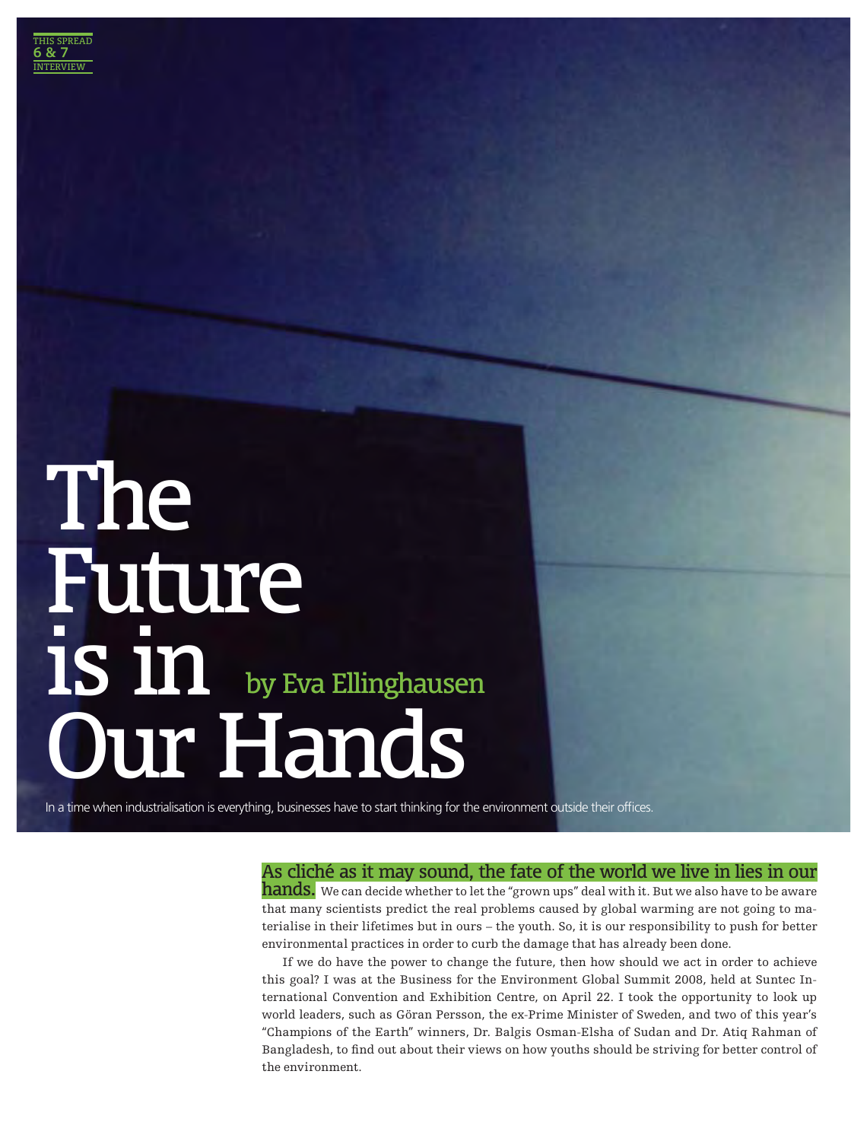### The Future is in Our Hands by Eva Ellinghausen

In a time when industrialisation is everything, businesses have to start thinking for the environment outside their offices.

#### As cliché as it may sound, the fate of the world we live in lies in our

hands. We can decide whether to let the "grown ups" deal with it. But we also have to be aware that many scientists predict the real problems caused by global warming are not going to materialise in their lifetimes but in ours – the youth. So, it is our responsibility to push for better environmental practices in order to curb the damage that has already been done.

If we do have the power to change the future, then how should we act in order to achieve this goal? I was at the Business for the Environment Global Summit 2008, held at Suntec International Convention and Exhibition Centre, on April 22. I took the opportunity to look up world leaders, such as Göran Persson, the ex-Prime Minister of Sweden, and two of this year's "Champions of the Earth" winners, Dr. Balgis Osman-Elsha of Sudan and Dr. Atiq Rahman of Bangladesh, to find out about their views on how youths should be striving for better control of the environment.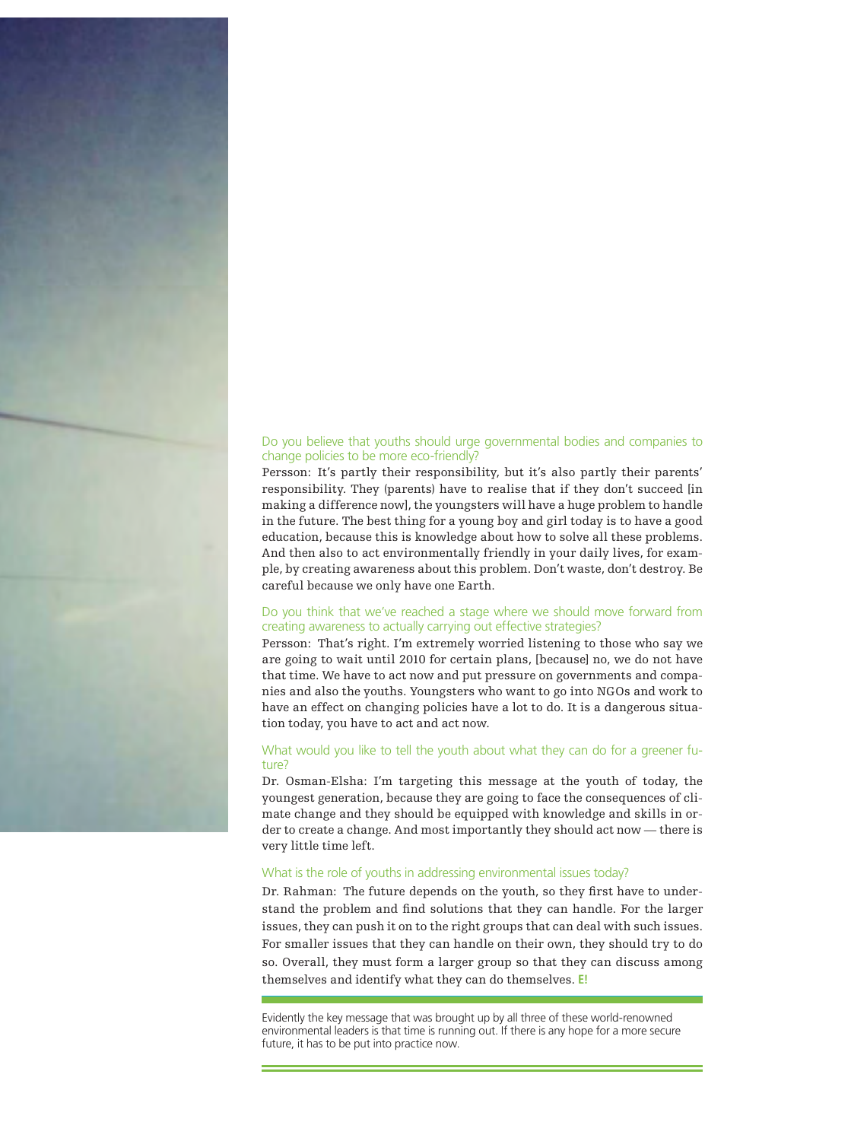#### Do you believe that youths should urge governmental bodies and companies to change policies to be more eco-friendly?

Persson: It's partly their responsibility, but it's also partly their parents' responsibility. They (parents) have to realise that if they don't succeed [in making a difference now], the youngsters will have a huge problem to handle in the future. The best thing for a young boy and girl today is to have a good education, because this is knowledge about how to solve all these problems. And then also to act environmentally friendly in your daily lives, for example, by creating awareness about this problem. Don't waste, don't destroy. Be careful because we only have one Earth.

#### Do you think that we've reached a stage where we should move forward from creating awareness to actually carrying out effective strategies?

Persson: That's right. I'm extremely worried listening to those who say we are going to wait until 2010 for certain plans, [because] no, we do not have that time. We have to act now and put pressure on governments and companies and also the youths. Youngsters who want to go into NGOs and work to have an effect on changing policies have a lot to do. It is a dangerous situation today, you have to act and act now.

#### What would you like to tell the youth about what they can do for a greener future?

Dr. Osman-Elsha: I'm targeting this message at the youth of today, the youngest generation, because they are going to face the consequences of climate change and they should be equipped with knowledge and skills in order to create a change. And most importantly they should act now — there is very little time left.

#### What is the role of youths in addressing environmental issues today?

Dr. Rahman: The future depends on the youth, so they first have to understand the problem and find solutions that they can handle. For the larger issues, they can push it on to the right groups that can deal with such issues. For smaller issues that they can handle on their own, they should try to do so. Overall, they must form a larger group so that they can discuss among themselves and identify what they can do themselves. **E!**

Evidently the key message that was brought up by all three of these world-renowned environmental leaders is that time is running out. If there is any hope for a more secure future, it has to be put into practice now.

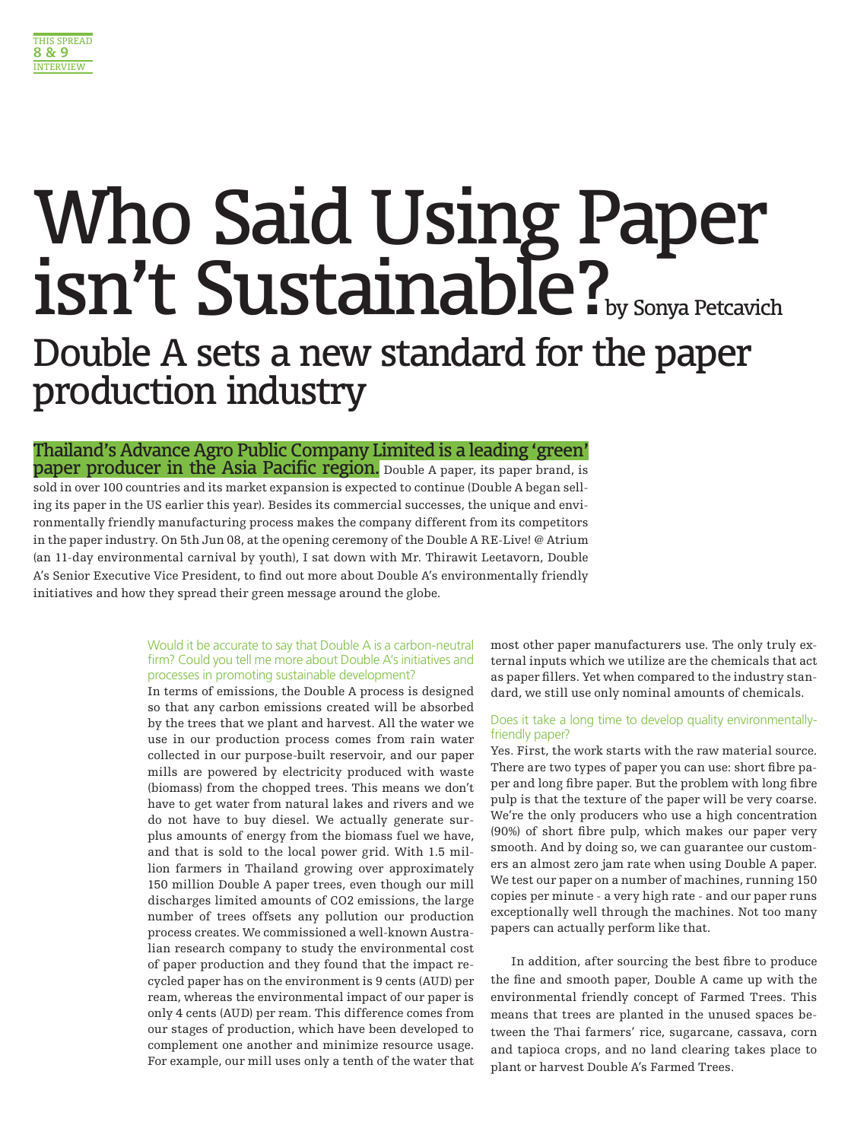

### Who Said Using Paper isn't Sustainable?

Double A sets a new standard for the paper production industry

Thailand's Advance Agro Public Company Limited is a leading 'green' **paper producer in the Asia Pacific region.** Double A paper, its paper brand, is sold in over 100 countries and its market expansion is expected to continue (Double A began selling its paper in the US earlier this year). Besides its commercial successes, the unique and environmentally friendly manufacturing process makes the company different from its competitors in the paper industry. On 5th Jun 08, at the opening ceremony of the Double A RE-Live! @ Atrium (an 11-day environmental carnival by youth), I sat down with Mr. Thirawit Leetavorn, Double A's Senior Executive Vice President, to find out more about Double A's environmentally friendly initiatives and how they spread their green message around the globe.

#### Would it be accurate to say that Double A is a carbon-neutral firm? Could you tell me more about Double A's initiatives and processes in promoting sustainable development?

In terms of emissions, the Double A process is designed so that any carbon emissions created will be absorbed by the trees that we plant and harvest. All the water we use in our production process comes from rain water collected in our purpose-built reservoir, and our paper mills are powered by electricity produced with waste (biomass) from the chopped trees. This means we don't have to get water from natural lakes and rivers and we do not have to buy diesel. We actually generate surplus amounts of energy from the biomass fuel we have, and that is sold to the local power grid. With 1.5 million farmers in Thailand growing over approximately 150 million Double A paper trees, even though our mill discharges limited amounts of CO2 emissions, the large number of trees offsets any pollution our production process creates. We commissioned a well-known Australian research company to study the environmental cost of paper production and they found that the impact recycled paper has on the environment is 9 cents (AUD) per ream, whereas the environmental impact of our paper is only 4 cents (AUD) per ream. This difference comes from our stages of production, which have been developed to complement one another and minimize resource usage. For example, our mill uses only a tenth of the water that most other paper manufacturers use. The only truly external inputs which we utilize are the chemicals that act as paper fillers. Yet when compared to the industry standard, we still use only nominal amounts of chemicals.

#### Does it take a long time to develop quality environmentallyfriendly paper?

Yes. First, the work starts with the raw material source. There are two types of paper you can use: short fibre paper and long fibre paper. But the problem with long fibre pulp is that the texture of the paper will be very coarse. We're the only producers who use a high concentration (90%) of short fibre pulp, which makes our paper very smooth. And by doing so, we can guarantee our customers an almost zero jam rate when using Double A paper. We test our paper on a number of machines, running 150 copies per minute - a very high rate - and our paper runs exceptionally well through the machines. Not too many papers can actually perform like that.

In addition, after sourcing the best fibre to produce the fine and smooth paper, Double A came up with the environmental friendly concept of Farmed Trees. This means that trees are planted in the unused spaces between the Thai farmers' rice, sugarcane, cassava, corn and tapioca crops, and no land clearing takes place to plant or harvest Double A's Farmed Trees.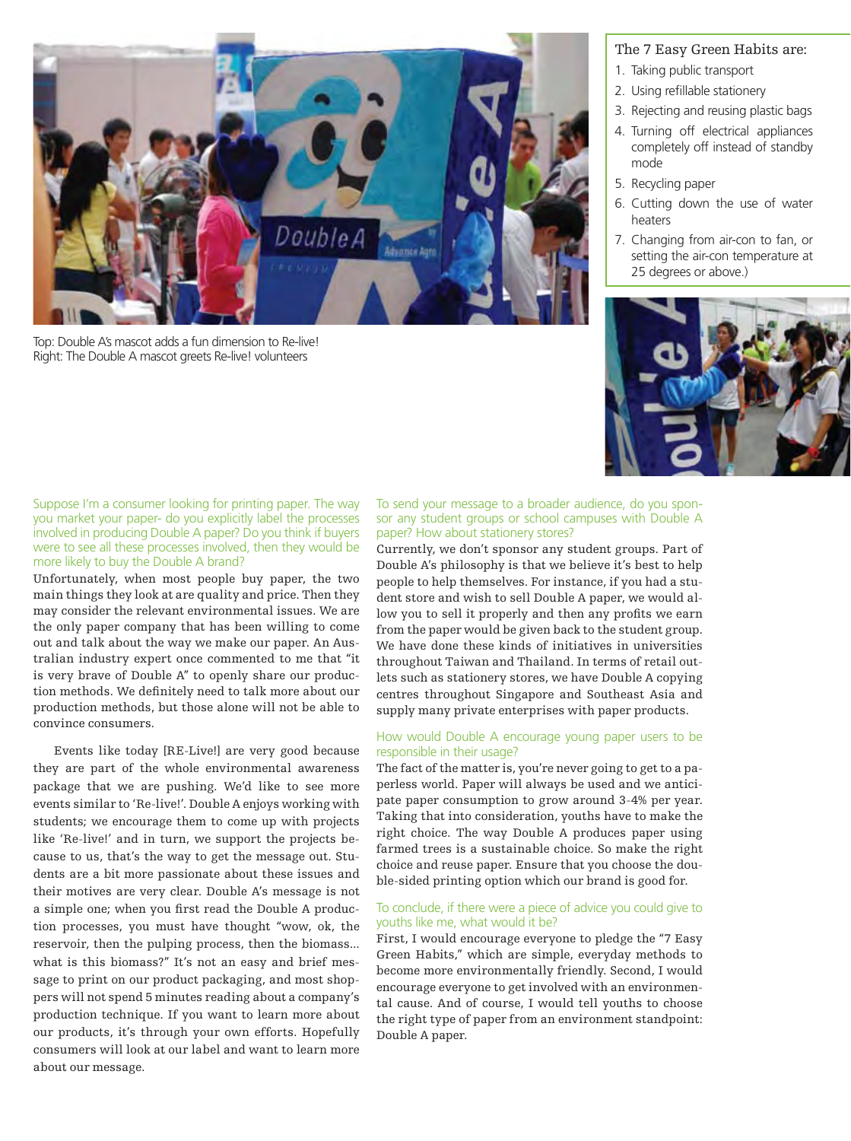

Top: Double A's mascot adds a fun dimension to Re-live! Right: The Double A mascot greets Re-live! volunteers

#### The 7 Easy Green Habits are:

- 1. Taking public transport
- 2. Using refillable stationery
- 3. Rejecting and reusing plastic bags
- 4. Turning off electrical appliances completely off instead of standby mode
- 5. Recycling paper
- 6. Cutting down the use of water heaters
- 7. Changing from air-con to fan, or setting the air-con temperature at 25 degrees or above.)



Suppose I'm a consumer looking for printing paper. The way you market your paper- do you explicitly label the processes involved in producing Double A paper? Do you think if buyers were to see all these processes involved, then they would be more likely to buy the Double A brand?

Unfortunately, when most people buy paper, the two main things they look at are quality and price. Then they may consider the relevant environmental issues. We are the only paper company that has been willing to come out and talk about the way we make our paper. An Australian industry expert once commented to me that "it is very brave of Double A" to openly share our production methods. We definitely need to talk more about our production methods, but those alone will not be able to convince consumers.

Events like today [RE-Live!] are very good because they are part of the whole environmental awareness package that we are pushing. We'd like to see more events similar to 'Re-live!'. Double A enjoys working with students; we encourage them to come up with projects like 'Re-live!' and in turn, we support the projects because to us, that's the way to get the message out. Students are a bit more passionate about these issues and their motives are very clear. Double A's message is not a simple one; when you first read the Double A production processes, you must have thought "wow, ok, the reservoir, then the pulping process, then the biomass... what is this biomass?" It's not an easy and brief message to print on our product packaging, and most shoppers will not spend 5 minutes reading about a company's production technique. If you want to learn more about our products, it's through your own efforts. Hopefully consumers will look at our label and want to learn more about our message.

To send your message to a broader audience, do you sponsor any student groups or school campuses with Double A paper? How about stationery stores?

Currently, we don't sponsor any student groups. Part of Double A's philosophy is that we believe it's best to help people to help themselves. For instance, if you had a student store and wish to sell Double A paper, we would allow you to sell it properly and then any profits we earn from the paper would be given back to the student group. We have done these kinds of initiatives in universities throughout Taiwan and Thailand. In terms of retail outlets such as stationery stores, we have Double A copying centres throughout Singapore and Southeast Asia and supply many private enterprises with paper products.

#### How would Double A encourage young paper users to be responsible in their usage?

The fact of the matter is, you're never going to get to a paperless world. Paper will always be used and we anticipate paper consumption to grow around 3-4% per year. Taking that into consideration, youths have to make the right choice. The way Double A produces paper using farmed trees is a sustainable choice. So make the right choice and reuse paper. Ensure that you choose the double-sided printing option which our brand is good for.

#### To conclude, if there were a piece of advice you could give to youths like me, what would it be?

First, I would encourage everyone to pledge the "7 Easy Green Habits," which are simple, everyday methods to become more environmentally friendly. Second, I would encourage everyone to get involved with an environmental cause. And of course, I would tell youths to choose the right type of paper from an environment standpoint: Double A paper.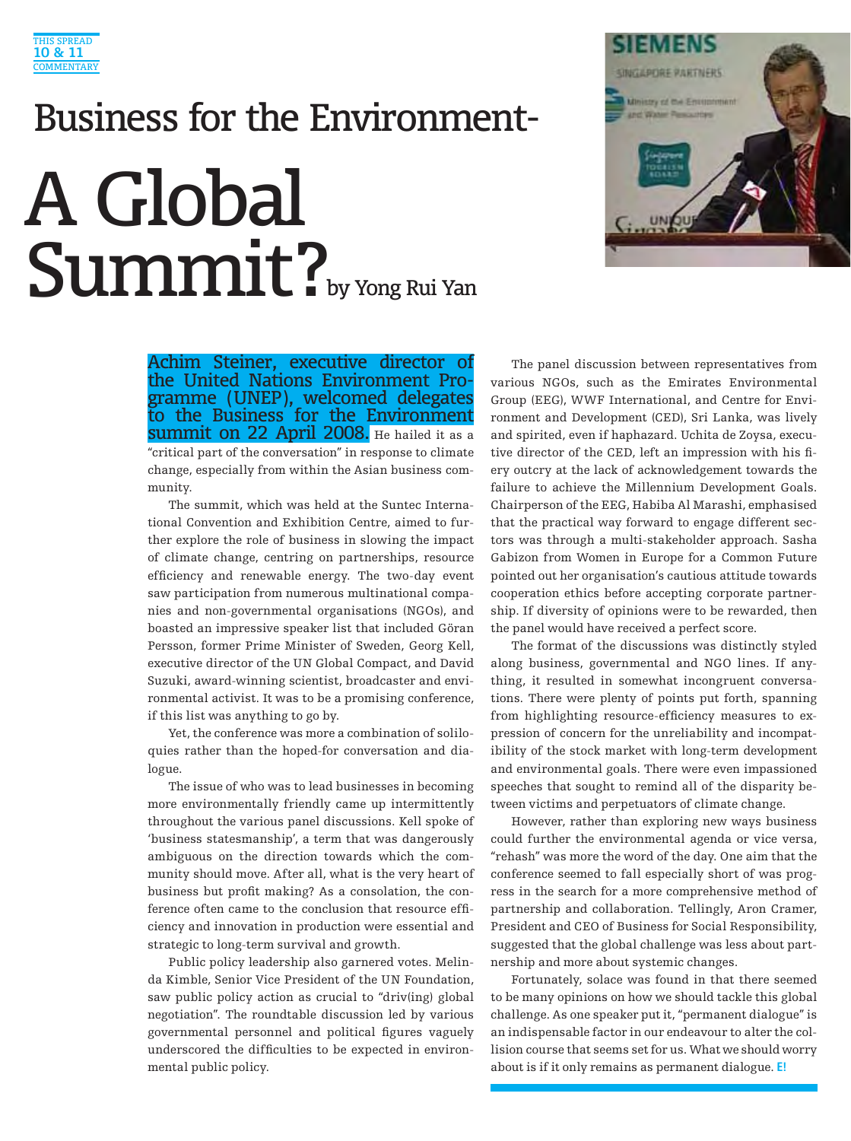

### Business for the Environment-A Global Summit?



Achim Steiner, executive director of<br>the United Nations Environment Programme (UNEP), welcomed delegates to the Business for the Environment Summit on 22 April 2008. He hailed it as a "critical part of the conversation" in response to climate change, especially from within the Asian business community.

The summit, which was held at the Suntec International Convention and Exhibition Centre, aimed to further explore the role of business in slowing the impact of climate change, centring on partnerships, resource efficiency and renewable energy. The two-day event saw participation from numerous multinational companies and non-governmental organisations (NGOs), and boasted an impressive speaker list that included Göran Persson, former Prime Minister of Sweden, Georg Kell, executive director of the UN Global Compact, and David Suzuki, award-winning scientist, broadcaster and environmental activist. It was to be a promising conference, if this list was anything to go by.

Yet, the conference was more a combination of soliloquies rather than the hoped-for conversation and dialogue.

The issue of who was to lead businesses in becoming more environmentally friendly came up intermittently throughout the various panel discussions. Kell spoke of 'business statesmanship', a term that was dangerously ambiguous on the direction towards which the community should move. After all, what is the very heart of business but profit making? As a consolation, the conference often came to the conclusion that resource efficiency and innovation in production were essential and strategic to long-term survival and growth.

Public policy leadership also garnered votes. Melinda Kimble, Senior Vice President of the UN Foundation, saw public policy action as crucial to "driv(ing) global negotiation". The roundtable discussion led by various governmental personnel and political figures vaguely underscored the difficulties to be expected in environmental public policy.

The panel discussion between representatives from various NGOs, such as the Emirates Environmental Group (EEG), WWF International, and Centre for Environment and Development (CED), Sri Lanka, was lively and spirited, even if haphazard. Uchita de Zoysa, executive director of the CED, left an impression with his fiery outcry at the lack of acknowledgement towards the failure to achieve the Millennium Development Goals. Chairperson of the EEG, Habiba Al Marashi, emphasised that the practical way forward to engage different sectors was through a multi-stakeholder approach. Sasha Gabizon from Women in Europe for a Common Future pointed out her organisation's cautious attitude towards cooperation ethics before accepting corporate partnership. If diversity of opinions were to be rewarded, then the panel would have received a perfect score.

The format of the discussions was distinctly styled along business, governmental and NGO lines. If anything, it resulted in somewhat incongruent conversations. There were plenty of points put forth, spanning from highlighting resource-efficiency measures to expression of concern for the unreliability and incompatibility of the stock market with long-term development and environmental goals. There were even impassioned speeches that sought to remind all of the disparity between victims and perpetuators of climate change.

However, rather than exploring new ways business could further the environmental agenda or vice versa, "rehash" was more the word of the day. One aim that the conference seemed to fall especially short of was progress in the search for a more comprehensive method of partnership and collaboration. Tellingly, Aron Cramer, President and CEO of Business for Social Responsibility, suggested that the global challenge was less about partnership and more about systemic changes.

Fortunately, solace was found in that there seemed to be many opinions on how we should tackle this global challenge. As one speaker put it, "permanent dialogue" is an indispensable factor in our endeavour to alter the collision course that seems set for us. What we should worry about is if it only remains as permanent dialogue. **E!**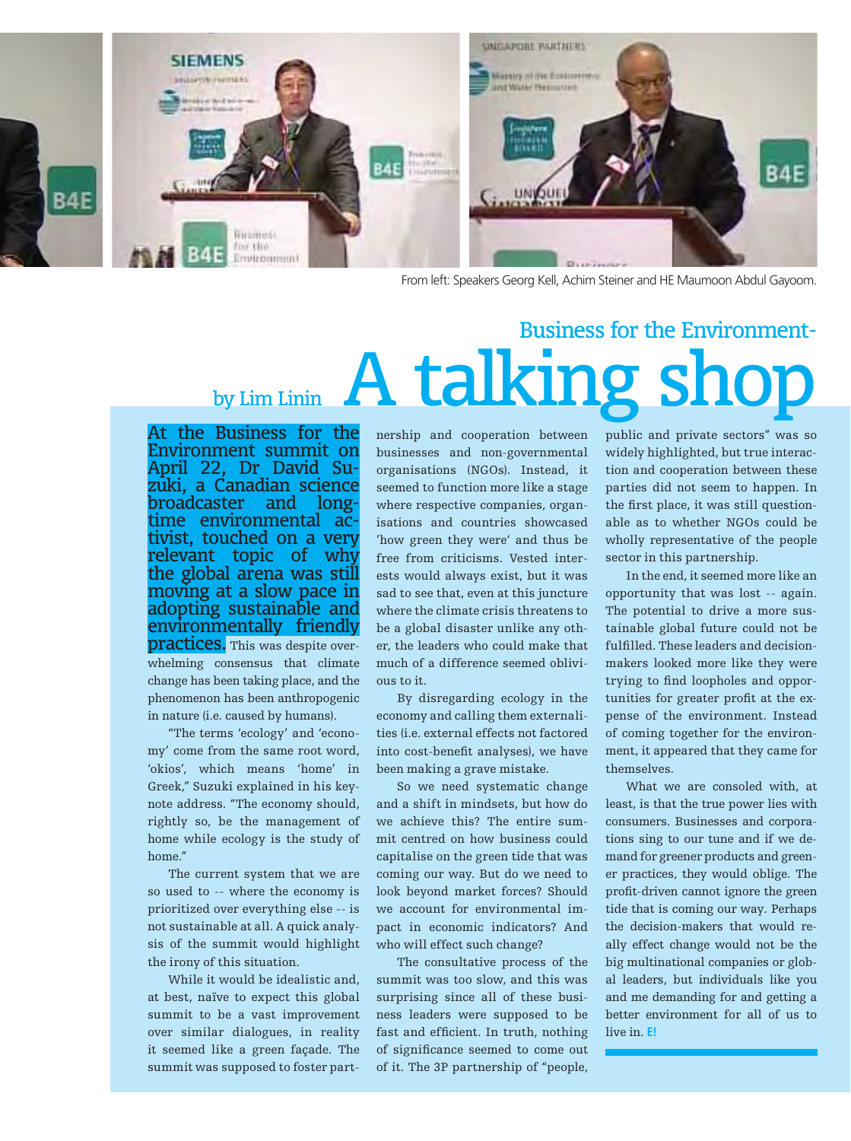

From left: Speakers Georg Kell, Achim Steiner and HE Maumoon Abdul Gayoom.

### Business for the Environmentby Lim Linin  $A$  talking sh

At the Business for the Environment summit on April 22, Dr David Su- zuki, a Canadian science broadcaster and longtime environmental ac-<br>tivist, touched on a very relevant topic of why the global arena was still moving at a slow pace in adopting sustainable and environmentally friendly **practices.** This was despite overwhelming consensus that climate change has been taking place, and the phenomenon has been anthropogenic in nature (i.e. caused by humans).

"The terms 'ecology' and 'economy' come from the same root word, 'okios', which means 'home' in Greek," Suzuki explained in his keynote address. "The economy should, rightly so, be the management of home while ecology is the study of home."

The current system that we are so used to -- where the economy is prioritized over everything else -- is not sustainable at all. A quick analysis of the summit would highlight the irony of this situation.

While it would be idealistic and, at best, naïve to expect this global summit to be a vast improvement over similar dialogues, in reality it seemed like a green façade. The summit was supposed to foster partnership and cooperation between businesses and non-governmental organisations (NGOs). Instead, it seemed to function more like a stage where respective companies, organisations and countries showcased 'how green they were' and thus be free from criticisms. Vested interests would always exist, but it was sad to see that, even at this juncture where the climate crisis threatens to be a global disaster unlike any other, the leaders who could make that much of a difference seemed oblivious to it.

By disregarding ecology in the economy and calling them externalities (i.e. external effects not factored into cost-benefit analyses), we have been making a grave mistake.

So we need systematic change and a shift in mindsets, but how do we achieve this? The entire summit centred on how business could capitalise on the green tide that was coming our way. But do we need to look beyond market forces? Should we account for environmental impact in economic indicators? And who will effect such change?

The consultative process of the summit was too slow, and this was surprising since all of these business leaders were supposed to be fast and efficient. In truth, nothing of significance seemed to come out of it. The 3P partnership of "people, public and private sectors" was so widely highlighted, but true interaction and cooperation between these parties did not seem to happen. In the first place, it was still questionable as to whether NGOs could be wholly representative of the people sector in this partnership.

In the end, it seemed more like an opportunity that was lost -- again. The potential to drive a more sustainable global future could not be fulfilled. These leaders and decisionmakers looked more like they were trying to find loopholes and opportunities for greater profit at the expense of the environment. Instead of coming together for the environment, it appeared that they came for themselves.

What we are consoled with, at least, is that the true power lies with consumers. Businesses and corporations sing to our tune and if we demand for greener products and greener practices, they would oblige. The profit-driven cannot ignore the green tide that is coming our way. Perhaps the decision-makers that would really effect change would not be the big multinational companies or global leaders, but individuals like you and me demanding for and getting a better environment for all of us to live in. **E!**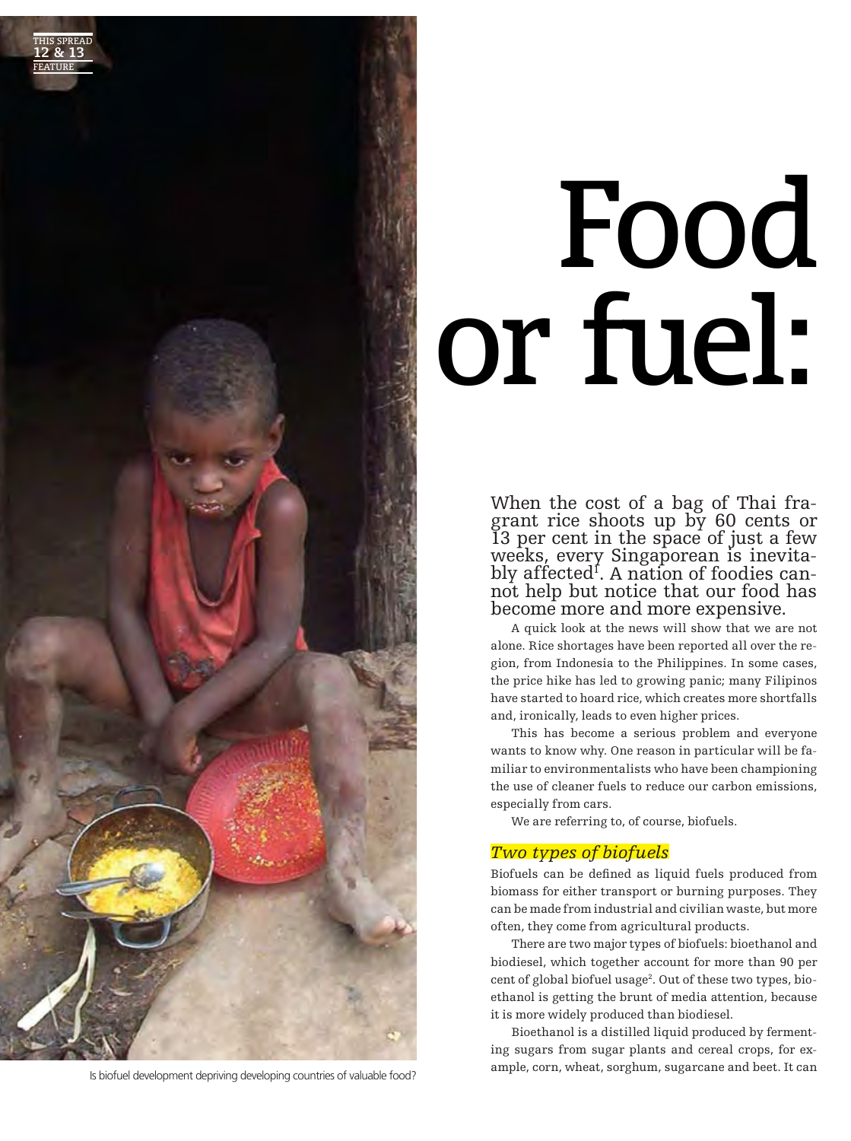

# Food or fuel:

When the cost of a bag of Thai fra- grant rice shoots up by 60 cents or 13 per cent in the space of just a few weeks, every Singaporean is inevita-<br>bly affected<sup>1</sup>. A nation of foodies canbly affected<sup>f</sup>. A nation of foodies can-<br>not help but notice that our food has become more and more expensive.

A quick look at the news will show that we are not alone. Rice shortages have been reported all over the region, from Indonesia to the Philippines. In some cases, the price hike has led to growing panic; many Filipinos have started to hoard rice, which creates more shortfalls and, ironically, leads to even higher prices.

This has become a serious problem and everyone wants to know why. One reason in particular will be familiar to environmentalists who have been championing the use of cleaner fuels to reduce our carbon emissions, especially from cars.

We are referring to, of course, biofuels.

#### *Two types of biofuels*

Biofuels can be defined as liquid fuels produced from biomass for either transport or burning purposes. They can be made from industrial and civilian waste, but more often, they come from agricultural products.

There are two major types of biofuels: bioethanol and biodiesel, which together account for more than 90 per cent of global biofuel usage<sup>2</sup>. Out of these two types, bioethanol is getting the brunt of media attention, because it is more widely produced than biodiesel.

Bioethanol is a distilled liquid produced by fermenting sugars from sugar plants and cereal crops, for ex-Is biofuel development depriving developing countries of valuable food? ample, corn, wheat, sorghum, sugarcane and beet. It can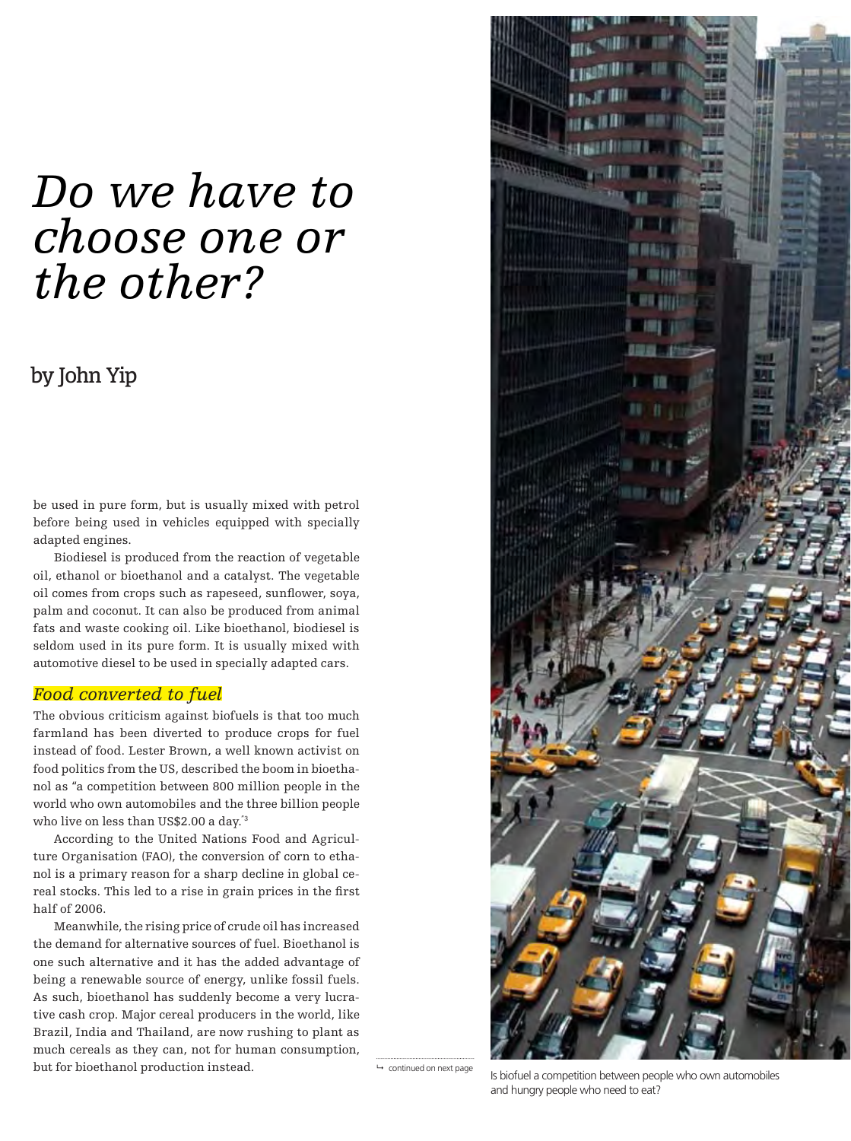### *Do we have to choose one or the other?*

#### by John Yip

be used in pure form, but is usually mixed with petrol before being used in vehicles equipped with specially adapted engines.

Biodiesel is produced from the reaction of vegetable oil, ethanol or bioethanol and a catalyst. The vegetable oil comes from crops such as rapeseed, sunflower, soya, palm and coconut. It can also be produced from animal fats and waste cooking oil. Like bioethanol, biodiesel is seldom used in its pure form. It is usually mixed with automotive diesel to be used in specially adapted cars.

#### *Food converted to fuel*

The obvious criticism against biofuels is that too much farmland has been diverted to produce crops for fuel instead of food. Lester Brown, a well known activist on food politics from the US, described the boom in bioethanol as "a competition between 800 million people in the world who own automobiles and the three billion people who live on less than US\$2.00 a day."3

According to the United Nations Food and Agriculture Organisation (FAO), the conversion of corn to ethanol is a primary reason for a sharp decline in global cereal stocks. This led to a rise in grain prices in the first half of 2006.

Meanwhile, the rising price of crude oil has increased the demand for alternative sources of fuel. Bioethanol is one such alternative and it has the added advantage of being a renewable source of energy, unlike fossil fuels. As such, bioethanol has suddenly become a very lucrative cash crop. Major cereal producers in the world, like Brazil, India and Thailand, are now rushing to plant as much cereals as they can, not for human consumption, but for bioethanol production instead. 
<br>  $\rightarrow$  continued on next page



Is biofuel a competition between people who own automobiles and hungry people who need to eat?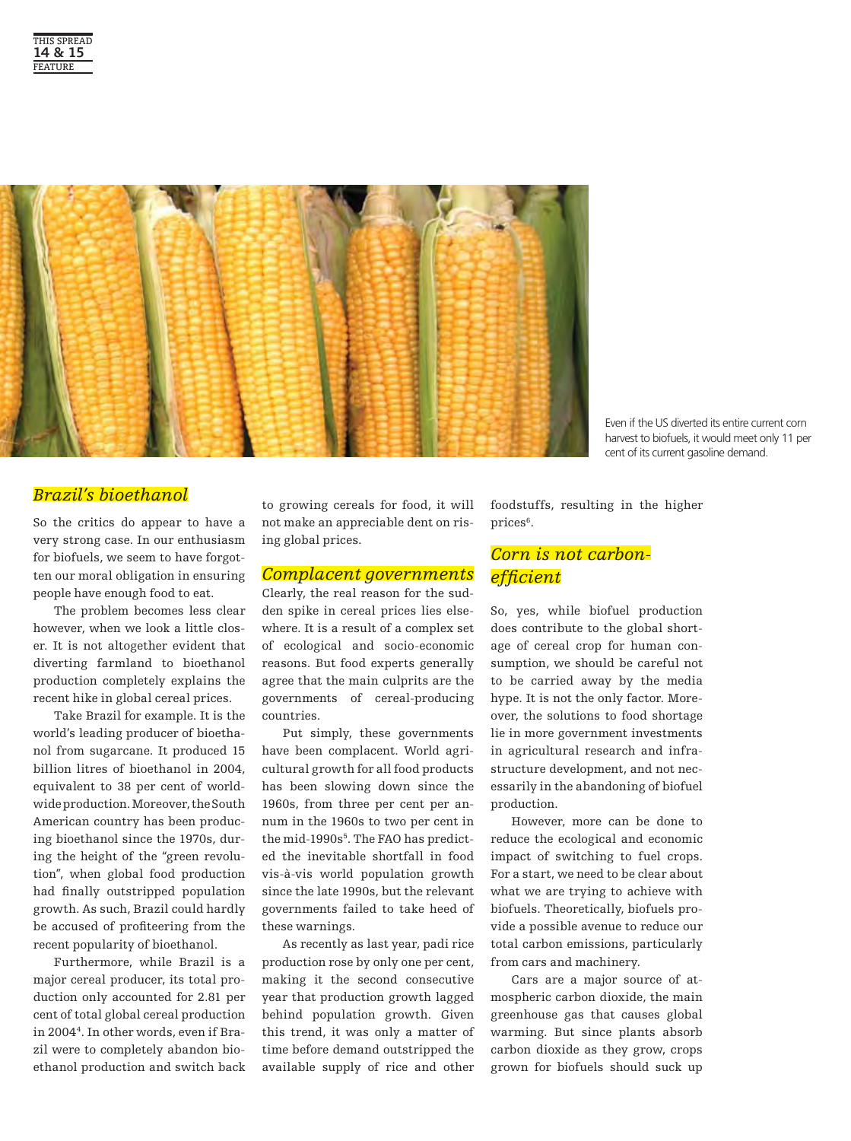

Even if the US diverted its entire current corn harvest to biofuels, it would meet only 11 per cent of its current gasoline demand.

#### *Brazil's bioethanol*

So the critics do appear to have a very strong case. In our enthusiasm for biofuels, we seem to have forgotten our moral obligation in ensuring people have enough food to eat.

The problem becomes less clear however, when we look a little closer. It is not altogether evident that diverting farmland to bioethanol production completely explains the recent hike in global cereal prices.

Take Brazil for example. It is the world's leading producer of bioethanol from sugarcane. It produced 15 billion litres of bioethanol in 2004, equivalent to 38 per cent of worldwide production. Moreover, the South American country has been producing bioethanol since the 1970s, during the height of the "green revolution", when global food production had finally outstripped population growth. As such, Brazil could hardly be accused of profiteering from the recent popularity of bioethanol.

Furthermore, while Brazil is a major cereal producer, its total production only accounted for 2.81 per cent of total global cereal production in 20044. In other words, even if Brazil were to completely abandon bioethanol production and switch back to growing cereals for food, it will not make an appreciable dent on rising global prices.

#### *Complacent governments*

Clearly, the real reason for the sudden spike in cereal prices lies elsewhere. It is a result of a complex set of ecological and socio-economic reasons. But food experts generally agree that the main culprits are the governments of cereal-producing countries.

Put simply, these governments have been complacent. World agricultural growth for all food products has been slowing down since the 1960s, from three per cent per annum in the 1960s to two per cent in the mid-1990s<sup>5</sup>. The FAO has predicted the inevitable shortfall in food vis-à-vis world population growth since the late 1990s, but the relevant governments failed to take heed of these warnings.

As recently as last year, padi rice production rose by only one per cent, making it the second consecutive year that production growth lagged behind population growth. Given this trend, it was only a matter of time before demand outstripped the available supply of rice and other foodstuffs, resulting in the higher prices<sup>6</sup>.

#### *Corn is not carbonefficient*

So, yes, while biofuel production does contribute to the global shortage of cereal crop for human consumption, we should be careful not to be carried away by the media hype. It is not the only factor. Moreover, the solutions to food shortage lie in more government investments in agricultural research and infrastructure development, and not necessarily in the abandoning of biofuel production.

However, more can be done to reduce the ecological and economic impact of switching to fuel crops. For a start, we need to be clear about what we are trying to achieve with biofuels. Theoretically, biofuels provide a possible avenue to reduce our total carbon emissions, particularly from cars and machinery.

Cars are a major source of atmospheric carbon dioxide, the main greenhouse gas that causes global warming. But since plants absorb carbon dioxide as they grow, crops grown for biofuels should suck up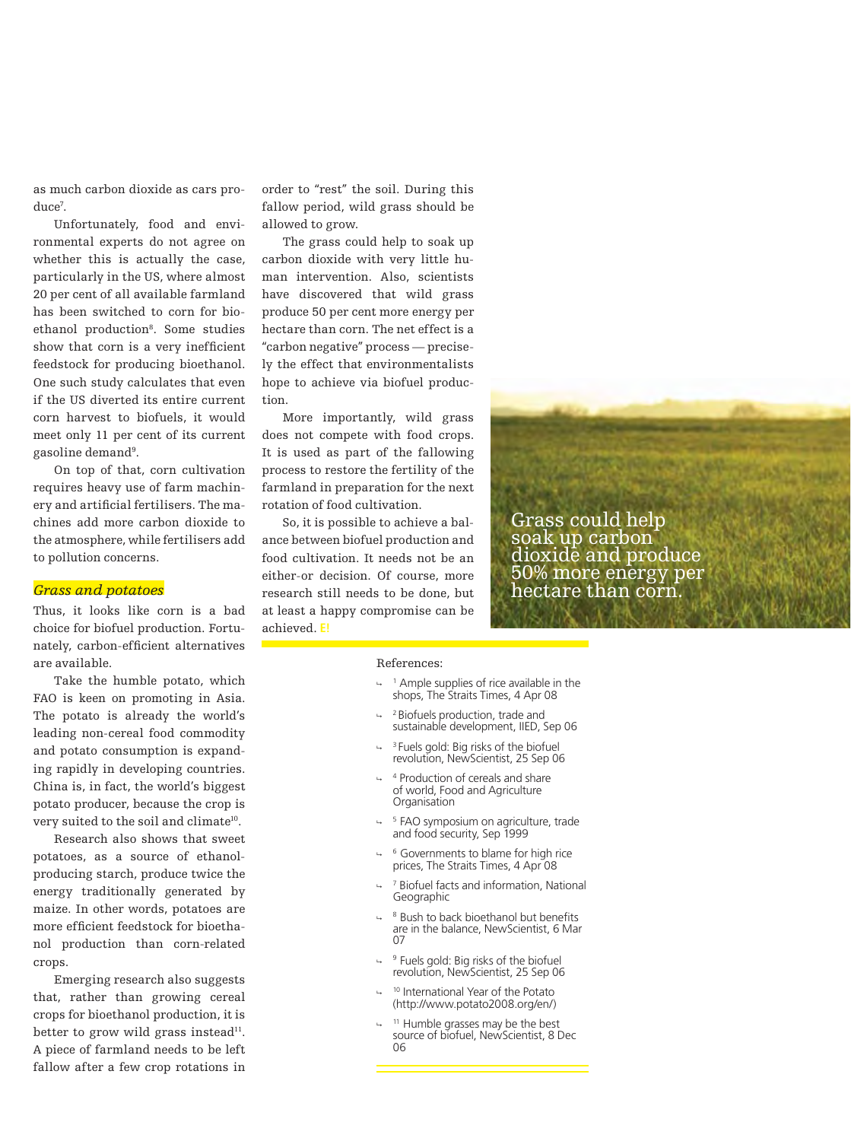as much carbon dioxide as cars produce7 .

Unfortunately, food and environmental experts do not agree on whether this is actually the case, particularly in the US, where almost 20 per cent of all available farmland has been switched to corn for bioethanol production<sup>8</sup>. Some studies show that corn is a very inefficient feedstock for producing bioethanol. One such study calculates that even if the US diverted its entire current corn harvest to biofuels, it would meet only 11 per cent of its current gasoline demand<sup>9</sup>.

On top of that, corn cultivation requires heavy use of farm machinery and artificial fertilisers. The machines add more carbon dioxide to the atmosphere, while fertilisers add to pollution concerns.

#### *Grass and potatoes*

Thus, it looks like corn is a bad choice for biofuel production. Fortunately, carbon-efficient alternatives are available.

Take the humble potato, which FAO is keen on promoting in Asia. The potato is already the world's leading non-cereal food commodity and potato consumption is expanding rapidly in developing countries. China is, in fact, the world's biggest potato producer, because the crop is very suited to the soil and climate<sup>10</sup>.

Research also shows that sweet potatoes, as a source of ethanolproducing starch, produce twice the energy traditionally generated by maize. In other words, potatoes are more efficient feedstock for bioethanol production than corn-related crops.

Emerging research also suggests that, rather than growing cereal crops for bioethanol production, it is better to grow wild grass instead<sup>11</sup>. A piece of farmland needs to be left fallow after a few crop rotations in order to "rest" the soil. During this fallow period, wild grass should be allowed to grow.

The grass could help to soak up carbon dioxide with very little human intervention. Also, scientists have discovered that wild grass produce 50 per cent more energy per hectare than corn. The net effect is a "carbon negative" process — precisely the effect that environmentalists hope to achieve via biofuel production.

More importantly, wild grass does not compete with food crops. It is used as part of the fallowing process to restore the fertility of the farmland in preparation for the next rotation of food cultivation.

So, it is possible to achieve a balance between biofuel production and food cultivation. It needs not be an either-or decision. Of course, more research still needs to be done, but at least a happy compromise can be achieved. **E!**

Grass could help soak up carbon dioxide and produce 50% more energy per hectare than corn.

#### References:

- <sup>1</sup> Ample supplies of rice available in the shops, The Straits Times, 4 Apr 08
- <sup>2</sup> Biofuels production, trade and sustainable development, IIED, Sep 06
- $\rightarrow$  <sup>3</sup> Fuels gold: Big risks of the biofuel revolution, NewScientist, 25 Sep 06
- <sup>4</sup> Production of cereals and share of world, Food and Agriculture **Organisation**
- $\frac{1}{2}$  <sup>5</sup> FAO symposium on agriculture, trade and food security, Sep 1999
- $\rightarrow$  <sup>6</sup> Governments to blame for high rice prices, The Straits Times, 4 Apr 08
- <sup>7</sup> Biofuel facts and information, National Geographic
- <sup>8</sup> Bush to back bioethanol but benefits are in the balance, NewScientist, 6 Mar  $\overline{07}$
- $\rightarrow$  <sup>9</sup> Fuels gold: Big risks of the biofuel revolution, NewScientist, 25 Sep 06
- <sup>10</sup> International Year of the Potato (http://www.potato2008.org/en/)
- <sup>11</sup> Humble grasses may be the best source of biofuel, NewScientist, 8 Dec 06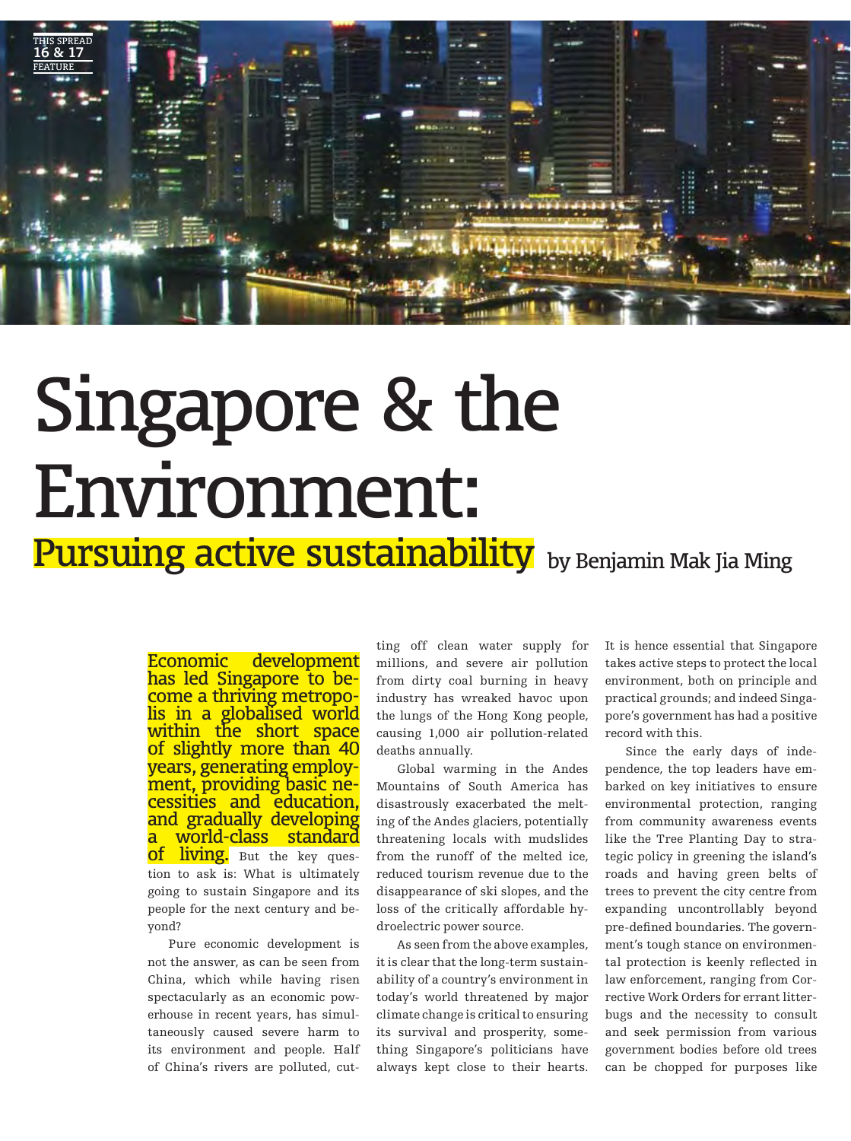

### Singapore & the Environment:

**Pursuing active sustainability** by Benjamin Mak Jia Ming

Economic development has led Singapore to become a thriving metropolis in a globalised world within the short space of slightly more than 40 years, generating employment, providing basic necessities and education, and gradually developing a world-class standard **of living.** But the key question to ask is: What is ultimately going to sustain Singapore and its people for the next century and beyond?

Pure economic development is not the answer, as can be seen from China, which while having risen spectacularly as an economic powerhouse in recent years, has simultaneously caused severe harm to its environment and people. Half of China's rivers are polluted, cutting off clean water supply for millions, and severe air pollution from dirty coal burning in heavy industry has wreaked havoc upon the lungs of the Hong Kong people, causing 1,000 air pollution-related deaths annually.

Global warming in the Andes Mountains of South America has disastrously exacerbated the melting of the Andes glaciers, potentially threatening locals with mudslides from the runoff of the melted ice, reduced tourism revenue due to the disappearance of ski slopes, and the loss of the critically affordable hydroelectric power source.

As seen from the above examples, it is clear that the long-term sustainability of a country's environment in today's world threatened by major climate change is critical to ensuring its survival and prosperity, something Singapore's politicians have always kept close to their hearts.

It is hence essential that Singapore takes active steps to protect the local environment, both on principle and practical grounds; and indeed Singapore's government has had a positive record with this.

Since the early days of independence, the top leaders have embarked on key initiatives to ensure environmental protection, ranging from community awareness events like the Tree Planting Day to strategic policy in greening the island's roads and having green belts of trees to prevent the city centre from expanding uncontrollably beyond pre-defined boundaries. The government's tough stance on environmental protection is keenly reflected in law enforcement, ranging from Corrective Work Orders for errant litterbugs and the necessity to consult and seek permission from various government bodies before old trees can be chopped for purposes like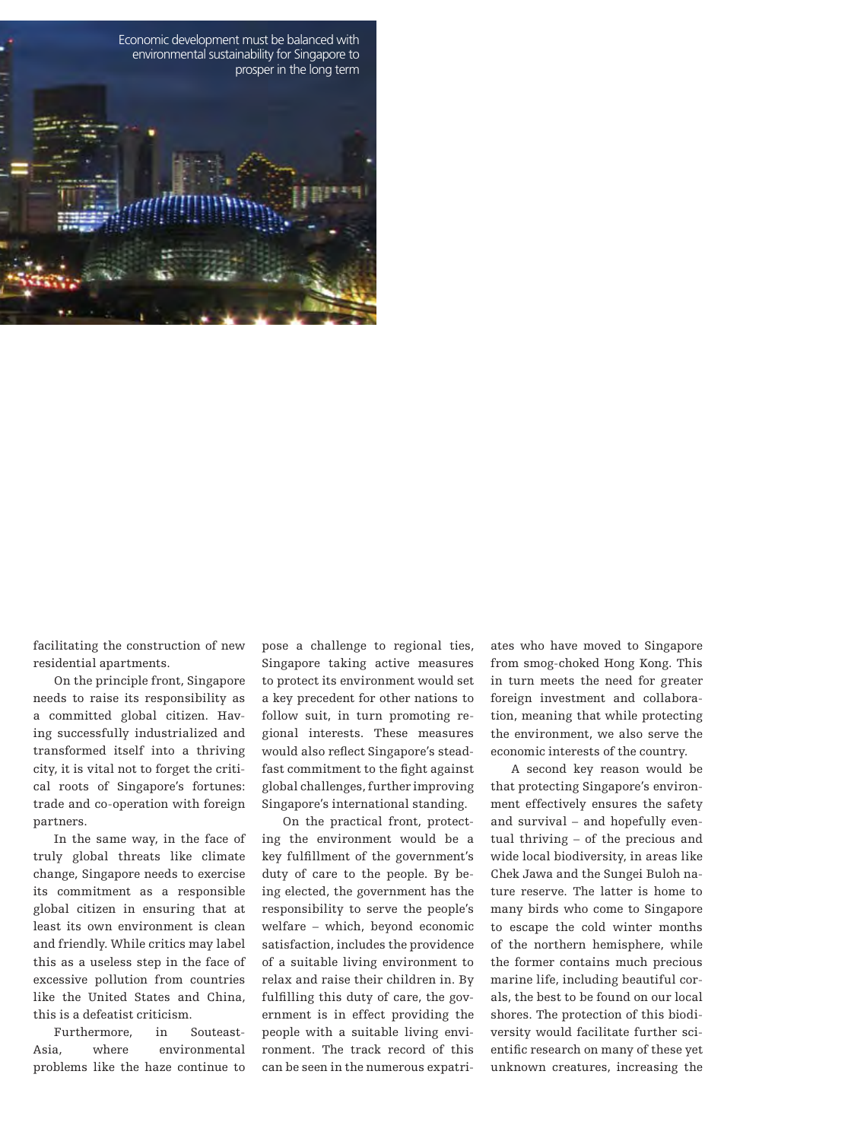

facilitating the construction of new residential apartments.

On the principle front, Singapore needs to raise its responsibility as a committed global citizen. Having successfully industrialized and transformed itself into a thriving city, it is vital not to forget the critical roots of Singapore's fortunes: trade and co-operation with foreign partners.

In the same way, in the face of truly global threats like climate change, Singapore needs to exercise its commitment as a responsible global citizen in ensuring that at least its own environment is clean and friendly. While critics may label this as a useless step in the face of excessive pollution from countries like the United States and China, this is a defeatist criticism.

Furthermore, in Souteast-Asia, where environmental problems like the haze continue to pose a challenge to regional ties, Singapore taking active measures to protect its environment would set a key precedent for other nations to follow suit, in turn promoting regional interests. These measures would also reflect Singapore's steadfast commitment to the fight against global challenges, further improving Singapore's international standing.

On the practical front, protecting the environment would be a key fulfillment of the government's duty of care to the people. By being elected, the government has the responsibility to serve the people's welfare – which, beyond economic satisfaction, includes the providence of a suitable living environment to relax and raise their children in. By fulfilling this duty of care, the government is in effect providing the people with a suitable living environment. The track record of this can be seen in the numerous expatriates who have moved to Singapore from smog-choked Hong Kong. This in turn meets the need for greater foreign investment and collaboration, meaning that while protecting the environment, we also serve the economic interests of the country.

A second key reason would be that protecting Singapore's environment effectively ensures the safety and survival – and hopefully eventual thriving – of the precious and wide local biodiversity, in areas like Chek Jawa and the Sungei Buloh nature reserve. The latter is home to many birds who come to Singapore to escape the cold winter months of the northern hemisphere, while the former contains much precious marine life, including beautiful corals, the best to be found on our local shores. The protection of this biodiversity would facilitate further scientific research on many of these yet unknown creatures, increasing the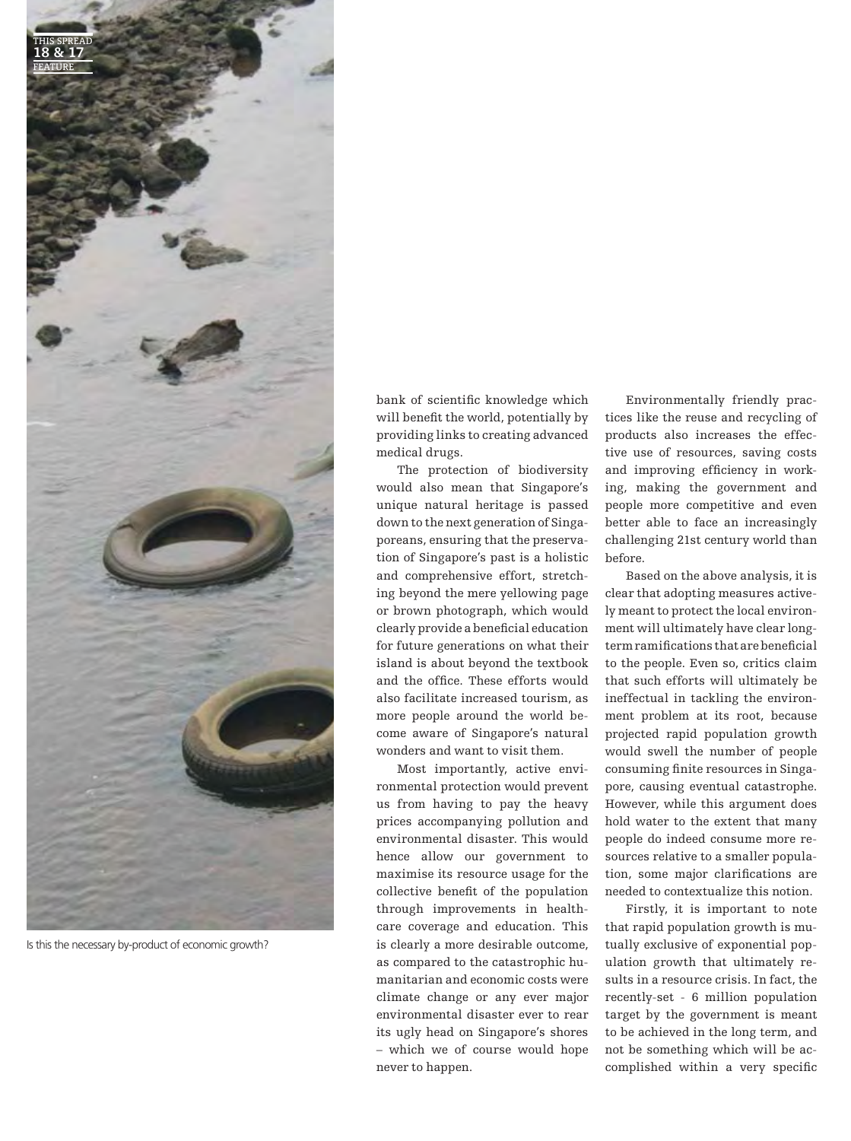

Is this the necessary by-product of economic growth?

bank of scientific knowledge which will benefit the world, potentially by providing links to creating advanced medical drugs.

The protection of biodiversity would also mean that Singapore's unique natural heritage is passed down to the next generation of Singaporeans, ensuring that the preservation of Singapore's past is a holistic and comprehensive effort, stretching beyond the mere yellowing page or brown photograph, which would clearly provide a beneficial education for future generations on what their island is about beyond the textbook and the office. These efforts would also facilitate increased tourism, as more people around the world become aware of Singapore's natural wonders and want to visit them.

Most importantly, active environmental protection would prevent us from having to pay the heavy prices accompanying pollution and environmental disaster. This would hence allow our government to maximise its resource usage for the collective benefit of the population through improvements in healthcare coverage and education. This is clearly a more desirable outcome, as compared to the catastrophic humanitarian and economic costs were climate change or any ever major environmental disaster ever to rear its ugly head on Singapore's shores – which we of course would hope never to happen.

Environmentally friendly practices like the reuse and recycling of products also increases the effective use of resources, saving costs and improving efficiency in working, making the government and people more competitive and even better able to face an increasingly challenging 21st century world than before.

Based on the above analysis, it is clear that adopting measures actively meant to protect the local environment will ultimately have clear longterm ramifications that are beneficial to the people. Even so, critics claim that such efforts will ultimately be ineffectual in tackling the environment problem at its root, because projected rapid population growth would swell the number of people consuming finite resources in Singapore, causing eventual catastrophe. However, while this argument does hold water to the extent that many people do indeed consume more resources relative to a smaller population, some major clarifications are needed to contextualize this notion.

Firstly, it is important to note that rapid population growth is mutually exclusive of exponential population growth that ultimately results in a resource crisis. In fact, the recently-set - 6 million population target by the government is meant to be achieved in the long term, and not be something which will be accomplished within a very specific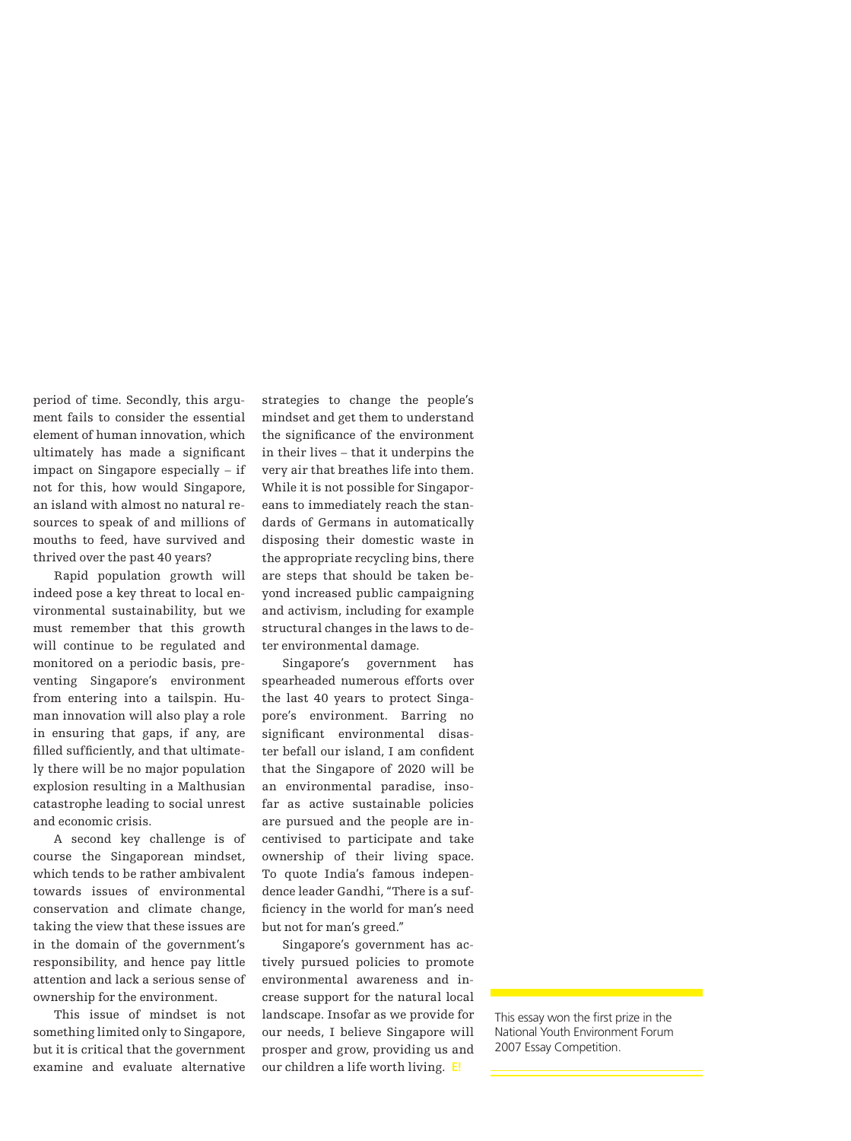period of time. Secondly, this argument fails to consider the essential element of human innovation, which ultimately has made a significant impact on Singapore especially – if not for this, how would Singapore, an island with almost no natural resources to speak of and millions of mouths to feed, have survived and thrived over the past 40 years?

Rapid population growth will indeed pose a key threat to local environmental sustainability, but we must remember that this growth will continue to be regulated and monitored on a periodic basis, preventing Singapore's environment from entering into a tailspin. Human innovation will also play a role in ensuring that gaps, if any, are filled sufficiently, and that ultimately there will be no major population explosion resulting in a Malthusian catastrophe leading to social unrest and economic crisis.

A second key challenge is of course the Singaporean mindset, which tends to be rather ambivalent towards issues of environmental conservation and climate change, taking the view that these issues are in the domain of the government's responsibility, and hence pay little attention and lack a serious sense of ownership for the environment.

This issue of mindset is not something limited only to Singapore, but it is critical that the government examine and evaluate alternative strategies to change the people's mindset and get them to understand the significance of the environment in their lives – that it underpins the very air that breathes life into them. While it is not possible for Singaporeans to immediately reach the standards of Germans in automatically disposing their domestic waste in the appropriate recycling bins, there are steps that should be taken beyond increased public campaigning and activism, including for example structural changes in the laws to deter environmental damage.

Singapore's government has spearheaded numerous efforts over the last 40 years to protect Singapore's environment. Barring no significant environmental disaster befall our island, I am confident that the Singapore of 2020 will be an environmental paradise, insofar as active sustainable policies are pursued and the people are incentivised to participate and take ownership of their living space. To quote India's famous independence leader Gandhi, "There is a sufficiency in the world for man's need but not for man's greed."

Singapore's government has actively pursued policies to promote environmental awareness and increase support for the natural local landscape. Insofar as we provide for our needs, I believe Singapore will prosper and grow, providing us and our children a life worth living. **E!**

This essay won the first prize in the National Youth Environment Forum 2007 Essay Competition.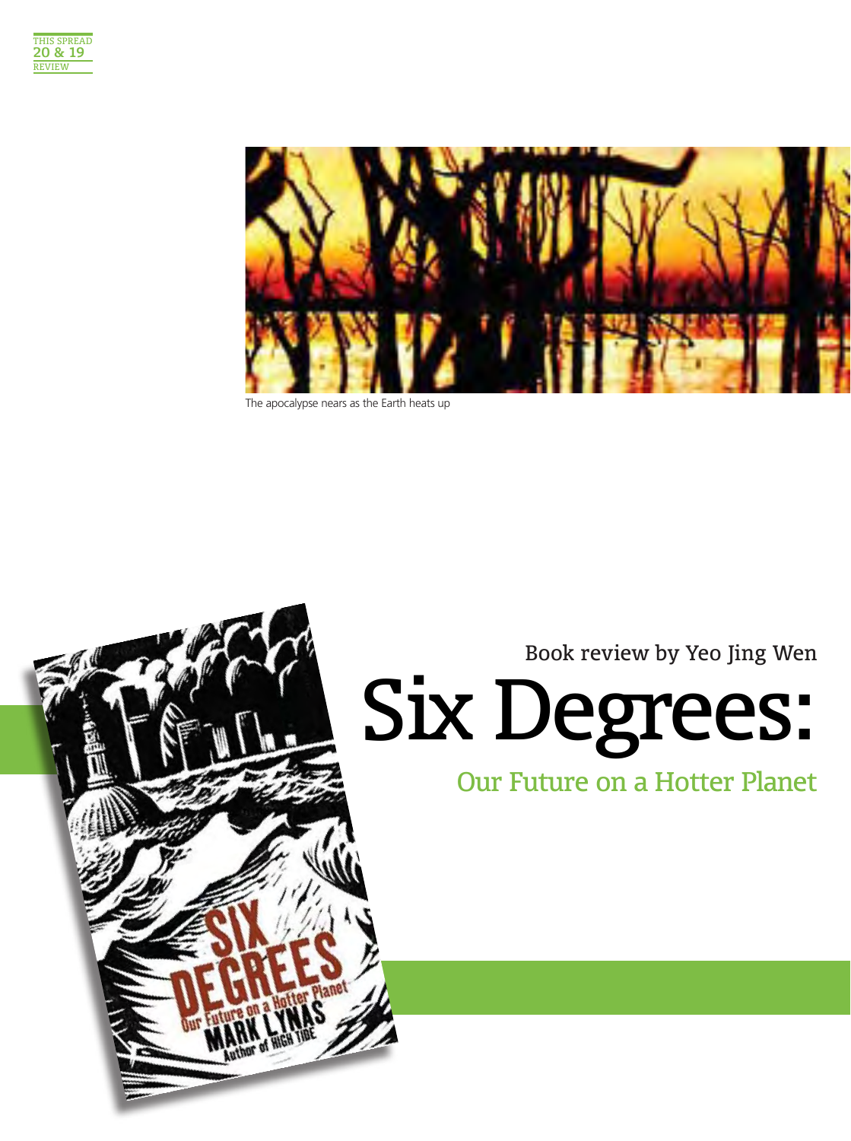



The apocalypse nears as the Earth heats up

Book review by Yeo Jing Wen

Our Future on a Hotter Planet

# Six Degrees:

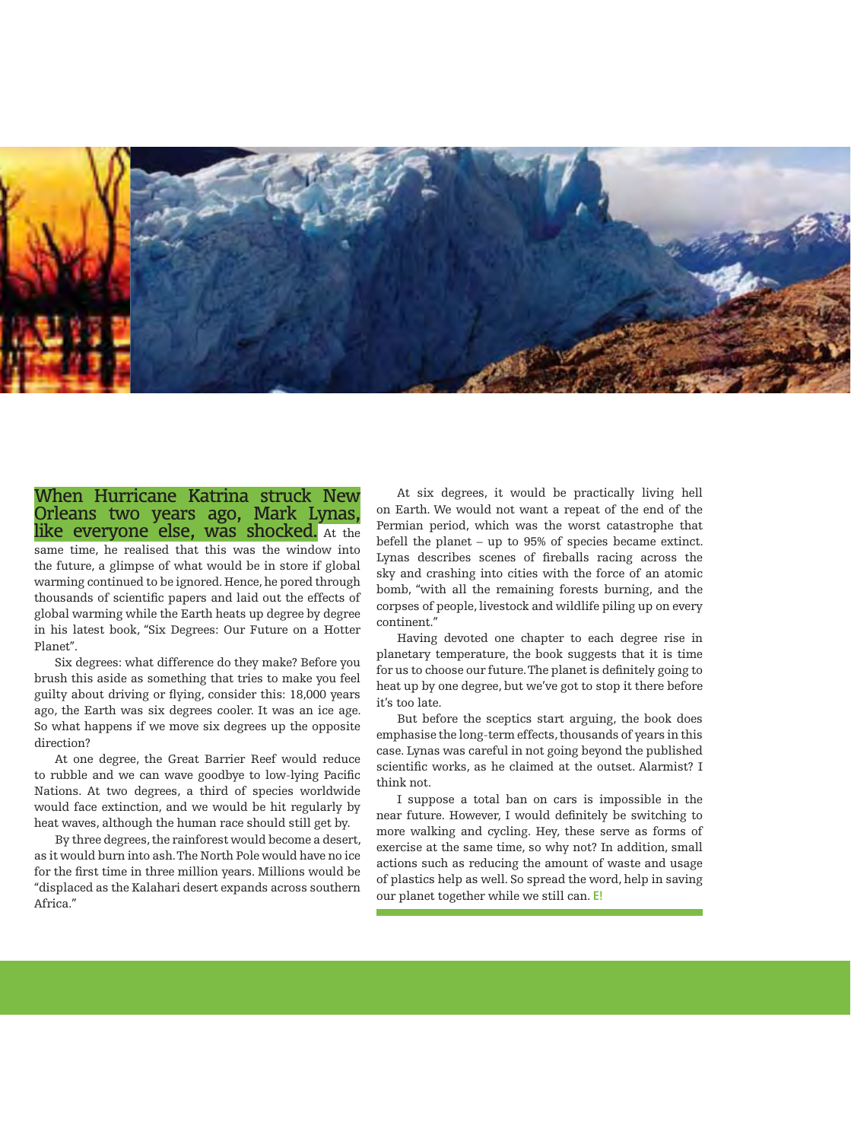

#### When Hurricane Katrina struck New Orleans two years ago, Mark Lynas, like everyone else, was shocked. At the same time, he realised that this was the window into the future, a glimpse of what would be in store if global warming continued to be ignored. Hence, he pored through thousands of scientific papers and laid out the effects of global warming while the Earth heats up degree by degree in his latest book, "Six Degrees: Our Future on a Hotter Planet".

Six degrees: what difference do they make? Before you brush this aside as something that tries to make you feel guilty about driving or flying, consider this: 18,000 years ago, the Earth was six degrees cooler. It was an ice age. So what happens if we move six degrees up the opposite direction?

At one degree, the Great Barrier Reef would reduce to rubble and we can wave goodbye to low-lying Pacific Nations. At two degrees, a third of species worldwide would face extinction, and we would be hit regularly by heat waves, although the human race should still get by.

By three degrees, the rainforest would become a desert, as it would burn into ash. The North Pole would have no ice for the first time in three million years. Millions would be "displaced as the Kalahari desert expands across southern Africa."

At six degrees, it would be practically living hell on Earth. We would not want a repeat of the end of the Permian period, which was the worst catastrophe that befell the planet – up to 95% of species became extinct. Lynas describes scenes of fireballs racing across the sky and crashing into cities with the force of an atomic bomb, "with all the remaining forests burning, and the corpses of people, livestock and wildlife piling up on every continent."

Having devoted one chapter to each degree rise in planetary temperature, the book suggests that it is time for us to choose our future. The planet is definitely going to heat up by one degree, but we've got to stop it there before it's too late.

But before the sceptics start arguing, the book does emphasise the long-term effects, thousands of years in this case. Lynas was careful in not going beyond the published scientific works, as he claimed at the outset. Alarmist? I think not.

I suppose a total ban on cars is impossible in the near future. However, I would definitely be switching to more walking and cycling. Hey, these serve as forms of exercise at the same time, so why not? In addition, small actions such as reducing the amount of waste and usage of plastics help as well. So spread the word, help in saving our planet together while we still can. **E!**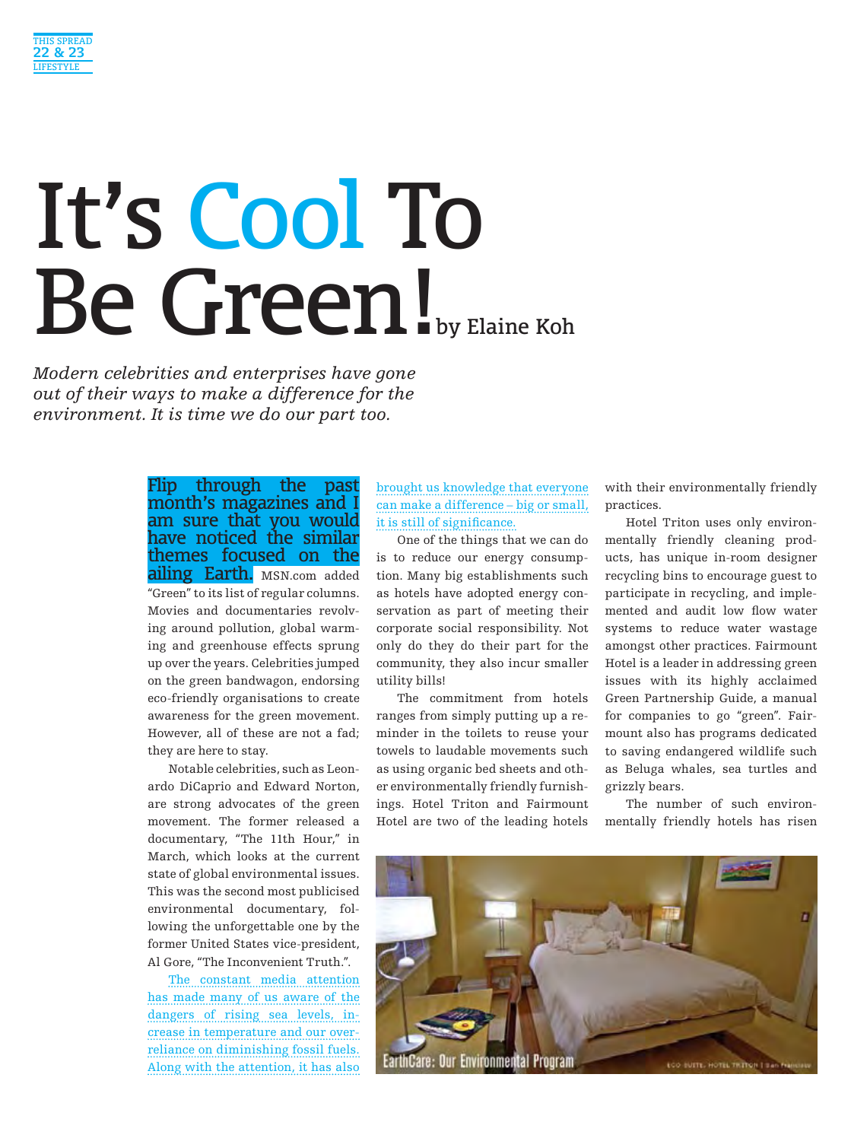

# It's Cool To Be Green!

*Modern celebrities and enterprises have gone out of their ways to make a difference for the environment. It is time we do our part too.*

> Flip through the past month's magazines and I am sure that you would have noticed the similar themes focused on the **ailing Earth.** MSN.com added "Green" to its list of regular columns. Movies and documentaries revolving around pollution, global warming and greenhouse effects sprung up over the years. Celebrities jumped on the green bandwagon, endorsing eco-friendly organisations to create awareness for the green movement. However, all of these are not a fad; they are here to stay.

> Notable celebrities, such as Leonardo DiCaprio and Edward Norton, are strong advocates of the green movement. The former released a documentary, "The 11th Hour," in March, which looks at the current state of global environmental issues. This was the second most publicised environmental documentary, following the unforgettable one by the former United States vice-president, Al Gore, "The Inconvenient Truth.".

> The constant media attention has made many of us aware of the dangers of rising sea levels, increase in temperature and our overreliance on diminishing fossil fuels. Along with the attention, it has also

brought us knowledge that everyone can make a difference – big or small, it is still of significance.

One of the things that we can do is to reduce our energy consumption. Many big establishments such as hotels have adopted energy conservation as part of meeting their corporate social responsibility. Not only do they do their part for the community, they also incur smaller utility bills!

The commitment from hotels ranges from simply putting up a reminder in the toilets to reuse your towels to laudable movements such as using organic bed sheets and other environmentally friendly furnishings. Hotel Triton and Fairmount Hotel are two of the leading hotels with their environmentally friendly practices.

Hotel Triton uses only environmentally friendly cleaning products, has unique in-room designer recycling bins to encourage guest to participate in recycling, and implemented and audit low flow water systems to reduce water wastage amongst other practices. Fairmount Hotel is a leader in addressing green issues with its highly acclaimed Green Partnership Guide, a manual for companies to go "green". Fairmount also has programs dedicated to saving endangered wildlife such as Beluga whales, sea turtles and grizzly bears.

The number of such environmentally friendly hotels has risen

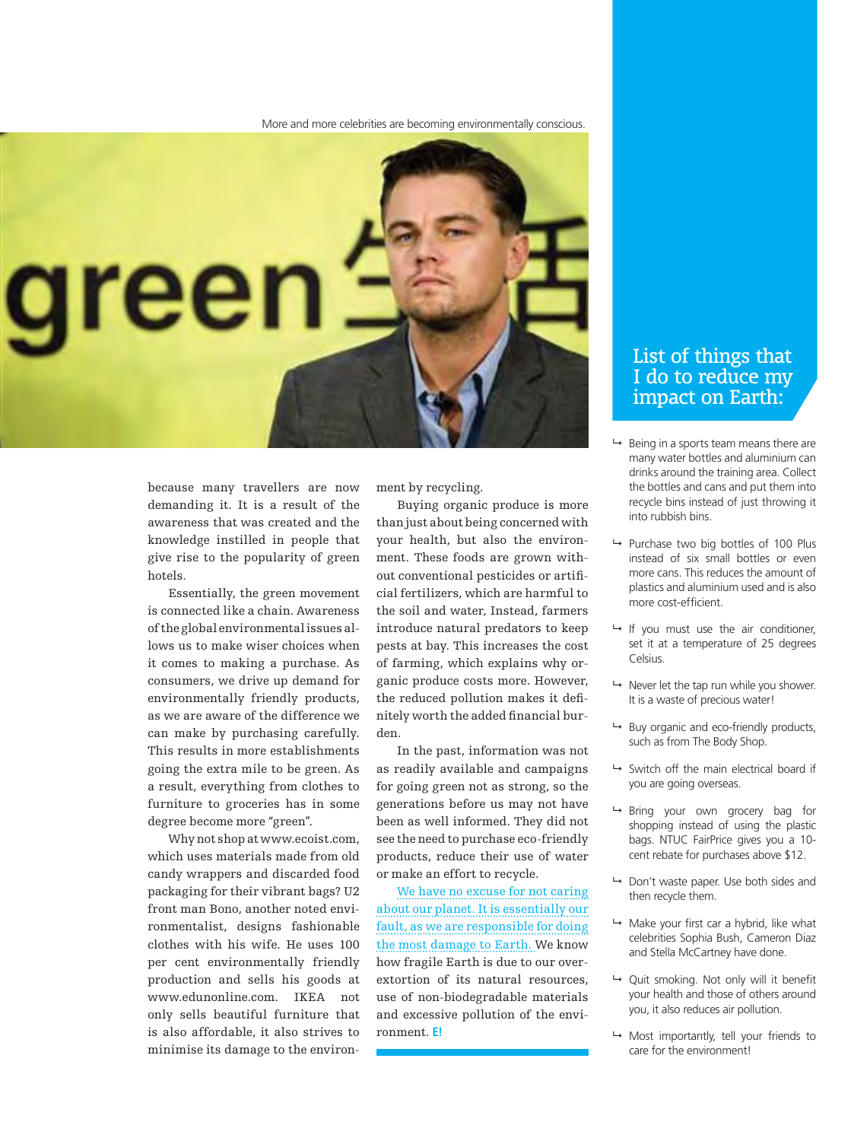More and more celebrities are becoming environmentally conscious.



because many travellers are now demanding it. It is a result of the awareness that was created and the knowledge instilled in people that give rise to the popularity of green hotels.

Essentially, the green movement is connected like a chain. Awareness of the global environmental issues allows us to make wiser choices when it comes to making a purchase. As consumers, we drive up demand for environmentally friendly products, as we are aware of the difference we can make by purchasing carefully. This results in more establishments going the extra mile to be green. As a result, everything from clothes to furniture to groceries has in some degree become more "green".

Why not shop at www.ecoist.com, which uses materials made from old candy wrappers and discarded food packaging for their vibrant bags? U2 front man Bono, another noted environmentalist, designs fashionable clothes with his wife. He uses 100 per cent environmentally friendly production and sells his goods at www.edunonline.com. IKEA not only sells beautiful furniture that is also affordable, it also strives to minimise its damage to the environment by recycling.

Buying organic produce is more than just about being concerned with your health, but also the environment. These foods are grown without conventional pesticides or artificial fertilizers, which are harmful to the soil and water, Instead, farmers introduce natural predators to keep pests at bay. This increases the cost of farming, which explains why organic produce costs more. However, the reduced pollution makes it definitely worth the added financial burden.

In the past, information was not as readily available and campaigns for going green not as strong, so the generations before us may not have been as well informed. They did not see the need to purchase eco-friendly products, reduce their use of water or make an effort to recycle.

We have no excuse for not caring about our planet. It is essentially our fault, as we are responsible for doing the most damage to Earth. We know how fragile Earth is due to our overextortion of its natural resources, use of non-biodegradable materials and excessive pollution of the environment. **E!**

#### List of things that I do to reduce my impact on Earth:

- $\rightarrow$  Being in a sports team means there are many water bottles and aluminium can drinks around the training area. Collect the bottles and cans and put them into recycle bins instead of just throwing it into rubbish bins.
- $\rightarrow$  Purchase two big bottles of 100 Plus instead of six small bottles or even more cans. This reduces the amount of plastics and aluminium used and is also more cost-efficient.
- $\rightarrow$  If you must use the air conditioner, set it at a temperature of 25 degrees Celsius.
- $\rightarrow$  Never let the tap run while you shower. It is a waste of precious water!
- $\rightarrow$  Buy organic and eco-friendly products, such as from The Body Shop.
- $\rightarrow$  Switch off the main electrical board if you are going overseas.
- Bring your own grocery bag for shopping instead of using the plastic bags. NTUC FairPrice gives you a 10 cent rebate for purchases above \$12.
- $\rightarrow$  Don't waste paper. Use both sides and then recycle them.
- $\rightarrow$  Make your first car a hybrid, like what celebrities Sophia Bush, Cameron Diaz and Stella McCartney have done.
- $\rightarrow$  Quit smoking. Not only will it benefit your health and those of others around you, it also reduces air pollution.
- $\rightarrow$  Most importantly, tell your friends to care for the environment!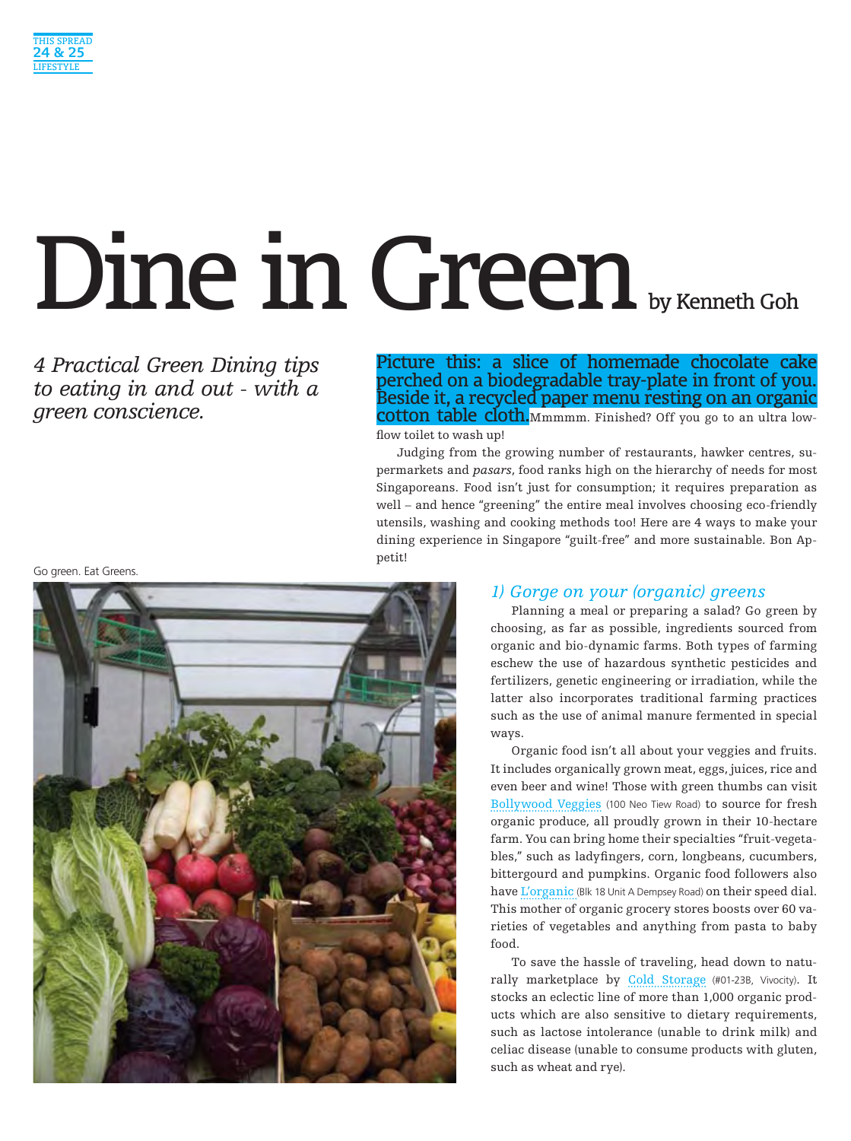

# Dine in Green by Kenneth Goh

*4 Practical Green Dining tips to eating in and out - with a green conscience.*

Picture this: a slice of homemade chocolate cake perched on a biodegradable tray-plate in front of you. Beside it, a recycled paper menu resting on an organic cotton table cloth.Mmmmm. Finished? Off you go to an ultra lowflow toilet to wash up!

Judging from the growing number of restaurants, hawker centres, supermarkets and *pasars*, food ranks high on the hierarchy of needs for most Singaporeans. Food isn't just for consumption; it requires preparation as well – and hence "greening" the entire meal involves choosing eco-friendly utensils, washing and cooking methods too! Here are 4 ways to make your dining experience in Singapore "guilt-free" and more sustainable. Bon Appetit!

Go green. Eat Greens.



#### *1) Gorge on your (organic) greens*

Planning a meal or preparing a salad? Go green by choosing, as far as possible, ingredients sourced from organic and bio-dynamic farms. Both types of farming eschew the use of hazardous synthetic pesticides and fertilizers, genetic engineering or irradiation, while the latter also incorporates traditional farming practices such as the use of animal manure fermented in special ways.

Organic food isn't all about your veggies and fruits. It includes organically grown meat, eggs, juices, rice and even beer and wine! Those with green thumbs can visit Bollywood Veggies (100 Neo Tiew Road) to source for fresh organic produce, all proudly grown in their 10-hectare farm. You can bring home their specialties "fruit-vegetables," such as ladyfingers, corn, longbeans, cucumbers, bittergourd and pumpkins. Organic food followers also have L'organic (Blk 18 Unit A Dempsey Road) on their speed dial. This mother of organic grocery stores boosts over 60 varieties of vegetables and anything from pasta to baby food.

To save the hassle of traveling, head down to naturally marketplace by Cold Storage (#01-23B, Vivocity). It stocks an eclectic line of more than 1,000 organic products which are also sensitive to dietary requirements, such as lactose intolerance (unable to drink milk) and celiac disease (unable to consume products with gluten, such as wheat and rye).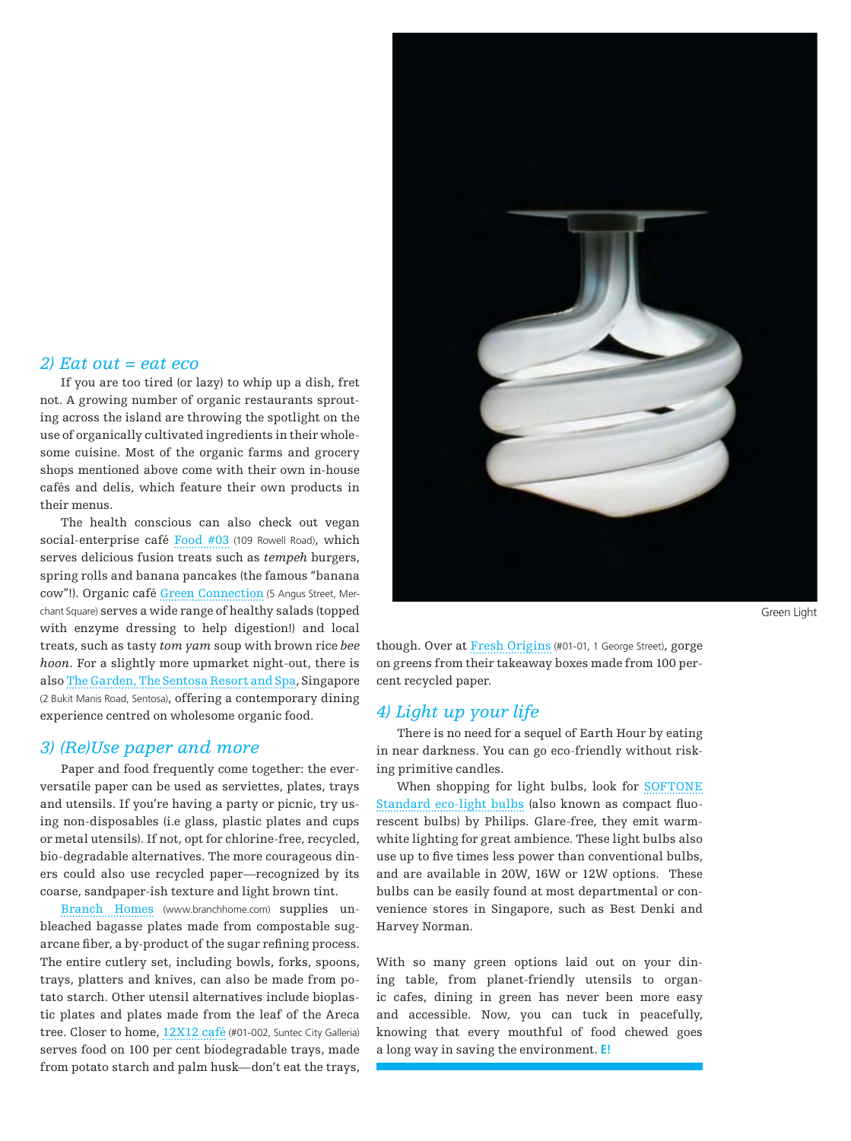#### *2) Eat out = eat eco*

If you are too tired (or lazy) to whip up a dish, fret not. A growing number of organic restaurants sprouting across the island are throwing the spotlight on the use of organically cultivated ingredients in their wholesome cuisine. Most of the organic farms and grocery shops mentioned above come with their own in-house cafés and delis, which feature their own products in their menus.

The health conscious can also check out vegan social-enterprise café Food #03 (109 Rowell Road), which serves delicious fusion treats such as *tempeh* burgers, spring rolls and banana pancakes (the famous "banana cow"!). Organic café Green Connection (5 Angus Street, Merchant Square) serves a wide range of healthy salads (topped with enzyme dressing to help digestion!) and local treats, such as tasty *tom yam* soup with brown rice *bee hoon*. For a slightly more upmarket night-out, there is also The Garden, The Sentosa Resort and Spa, Singapore (2 Bukit Manis Road, Sentosa), offering a contemporary dining experience centred on wholesome organic food.

#### *3) (Re)Use paper and more*

Paper and food frequently come together: the everversatile paper can be used as serviettes, plates, trays and utensils. If you're having a party or picnic, try using non-disposables (i.e glass, plastic plates and cups or metal utensils). If not, opt for chlorine-free, recycled, bio-degradable alternatives. The more courageous diners could also use recycled paper—recognized by its coarse, sandpaper-ish texture and light brown tint.

Branch Homes (www.branchhome.com) supplies unbleached bagasse plates made from compostable sugarcane fiber, a by-product of the sugar refining process. The entire cutlery set, including bowls, forks, spoons, trays, platters and knives, can also be made from potato starch. Other utensil alternatives include bioplastic plates and plates made from the leaf of the Areca tree. Closer to home, 12X12 café (#01-002, Suntec City Galleria) serves food on 100 per cent biodegradable trays, made from potato starch and palm husk—don't eat the trays,



Green Light

though. Over at Fresh Origins (#01-01, 1 George Street), gorge on greens from their takeaway boxes made from 100 percent recycled paper.

#### *4) Light up your life*

There is no need for a sequel of Earth Hour by eating in near darkness. You can go eco-friendly without risking primitive candles.

When shopping for light bulbs, look for SOFTONE Standard eco-light bulbs (also known as compact fluorescent bulbs) by Philips. Glare-free, they emit warmwhite lighting for great ambience. These light bulbs also use up to five times less power than conventional bulbs, and are available in 20W, 16W or 12W options. These bulbs can be easily found at most departmental or convenience stores in Singapore, such as Best Denki and Harvey Norman.

With so many green options laid out on your dining table, from planet-friendly utensils to organic cafes, dining in green has never been more easy and accessible. Now, you can tuck in peacefully, knowing that every mouthful of food chewed goes a long way in saving the environment. **E!**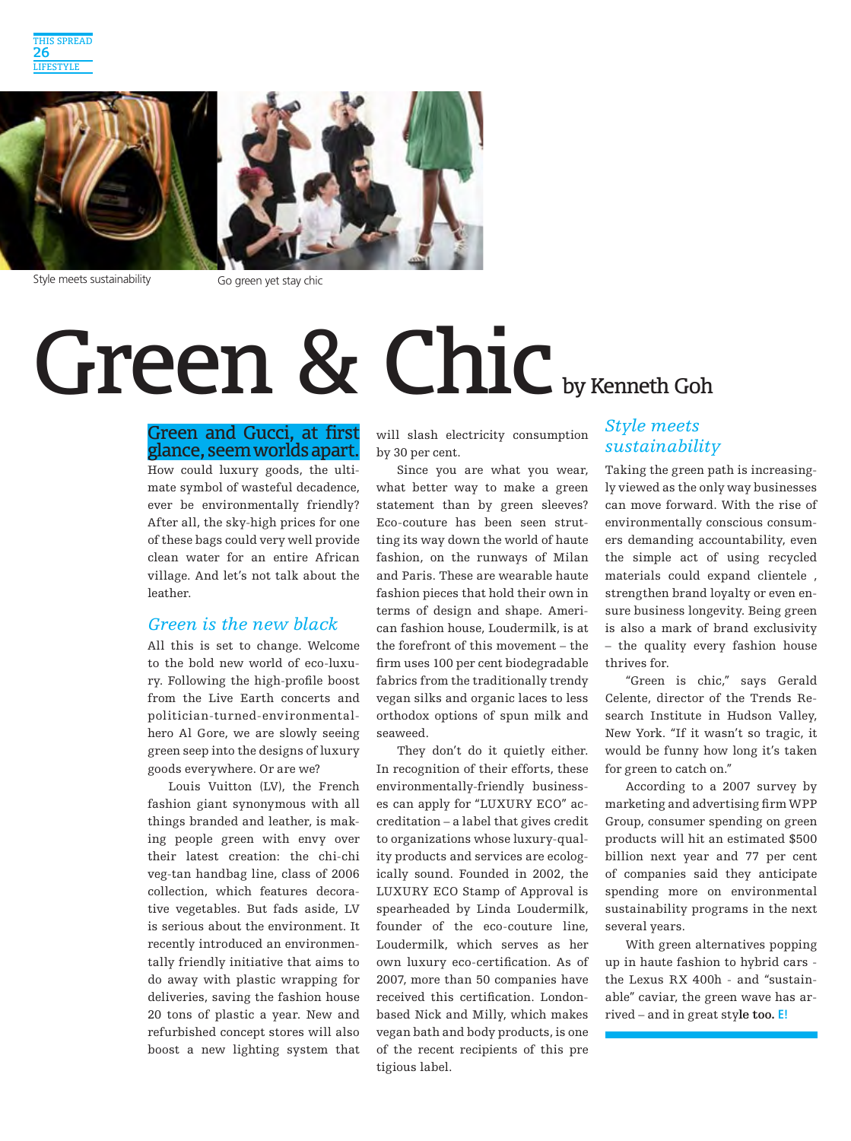

Style meets sustainability Go green yet stay chic

## Green & Chic by Kenneth Goh

#### Green and Gucci, at first glance, seem worlds apart.

How could luxury goods, the ultimate symbol of wasteful decadence, ever be environmentally friendly? After all, the sky-high prices for one of these bags could very well provide clean water for an entire African village. And let's not talk about the leather.

#### *Green is the new black*

All this is set to change. Welcome to the bold new world of eco-luxury. Following the high-profile boost from the Live Earth concerts and politician-turned-environmentalhero Al Gore, we are slowly seeing green seep into the designs of luxury goods everywhere. Or are we?

Louis Vuitton (LV), the French fashion giant synonymous with all things branded and leather, is making people green with envy over their latest creation: the chi-chi veg-tan handbag line, class of 2006 collection, which features decorative vegetables. But fads aside, LV is serious about the environment. It recently introduced an environmentally friendly initiative that aims to do away with plastic wrapping for deliveries, saving the fashion house 20 tons of plastic a year. New and refurbished concept stores will also boost a new lighting system that will slash electricity consumption by 30 per cent.

Since you are what you wear, what better way to make a green statement than by green sleeves? Eco-couture has been seen strutting its way down the world of haute fashion, on the runways of Milan and Paris. These are wearable haute fashion pieces that hold their own in terms of design and shape. American fashion house, Loudermilk, is at the forefront of this movement – the firm uses 100 per cent biodegradable fabrics from the traditionally trendy vegan silks and organic laces to less orthodox options of spun milk and seaweed.

They don't do it quietly either. In recognition of their efforts, these environmentally-friendly businesses can apply for "LUXURY ECO" accreditation – a label that gives credit to organizations whose luxury-quality products and services are ecologically sound. Founded in 2002, the LUXURY ECO Stamp of Approval is spearheaded by Linda Loudermilk, founder of the eco-couture line, Loudermilk, which serves as her own luxury eco-certification. As of 2007, more than 50 companies have received this certification. Londonbased Nick and Milly, which makes vegan bath and body products, is one of the recent recipients of this pre tigious label.

#### *Style meets sustainability*

Taking the green path is increasingly viewed as the only way businesses can move forward. With the rise of environmentally conscious consumers demanding accountability, even the simple act of using recycled materials could expand clientele , strengthen brand loyalty or even ensure business longevity. Being green is also a mark of brand exclusivity – the quality every fashion house thrives for.

"Green is chic," says Gerald Celente, director of the Trends Research Institute in Hudson Valley, New York. "If it wasn't so tragic, it would be funny how long it's taken for green to catch on."

According to a 2007 survey by marketing and advertising firm WPP Group, consumer spending on green products will hit an estimated \$500 billion next year and 77 per cent of companies said they anticipate spending more on environmental sustainability programs in the next several years.

With green alternatives popping up in haute fashion to hybrid cars the Lexus RX 400h - and "sustainable" caviar, the green wave has arrived – and in great sty**le too. E!**